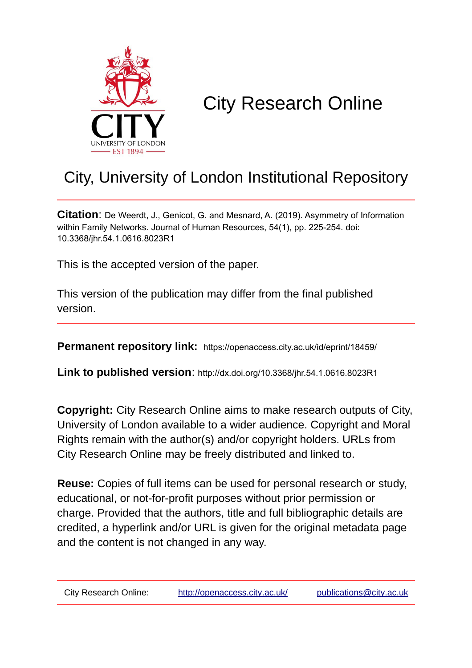

# City Research Online

# City, University of London Institutional Repository

**Citation**: De Weerdt, J., Genicot, G. and Mesnard, A. (2019). Asymmetry of Information within Family Networks. Journal of Human Resources, 54(1), pp. 225-254. doi: 10.3368/jhr.54.1.0616.8023R1

This is the accepted version of the paper.

This version of the publication may differ from the final published version.

**Permanent repository link:** https://openaccess.city.ac.uk/id/eprint/18459/

**Link to published version**: http://dx.doi.org/10.3368/jhr.54.1.0616.8023R1

**Copyright:** City Research Online aims to make research outputs of City, University of London available to a wider audience. Copyright and Moral Rights remain with the author(s) and/or copyright holders. URLs from City Research Online may be freely distributed and linked to.

**Reuse:** Copies of full items can be used for personal research or study, educational, or not-for-profit purposes without prior permission or charge. Provided that the authors, title and full bibliographic details are credited, a hyperlink and/or URL is given for the original metadata page and the content is not changed in any way.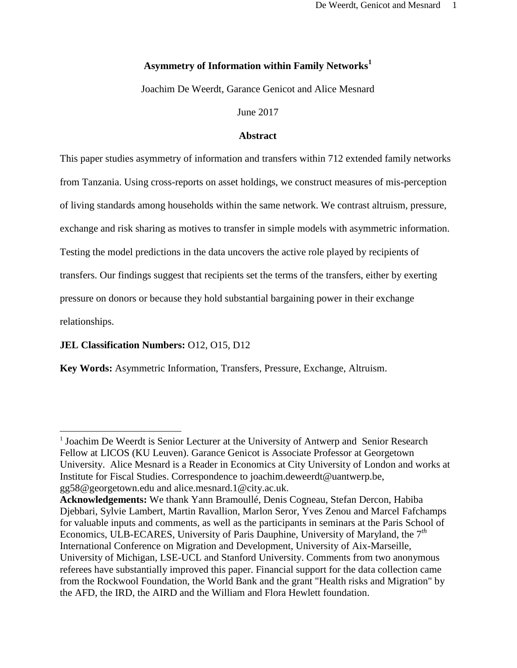# **Asymmetry of Information within Family Networks<sup>1</sup>**

Joachim De Weerdt, Garance Genicot and Alice Mesnard

June 2017

# **Abstract**

This paper studies asymmetry of information and transfers within 712 extended family networks from Tanzania. Using cross-reports on asset holdings, we construct measures of mis-perception of living standards among households within the same network. We contrast altruism, pressure, exchange and risk sharing as motives to transfer in simple models with asymmetric information. Testing the model predictions in the data uncovers the active role played by recipients of transfers. Our findings suggest that recipients set the terms of the transfers, either by exerting pressure on donors or because they hold substantial bargaining power in their exchange relationships.

# **JEL Classification Numbers:** O12, O15, D12

l

**Key Words:** Asymmetric Information, Transfers, Pressure, Exchange, Altruism.

<sup>&</sup>lt;sup>1</sup> Joachim De Weerdt is Senior Lecturer at the University of Antwerp and Senior Research Fellow at LICOS (KU Leuven). Garance Genicot is Associate Professor at Georgetown University. Alice Mesnard is a Reader in Economics at City University of London and works at Institute for Fiscal Studies. Correspondence to joachim.deweerdt@uantwerp.be, gg58@georgetown.edu and alice.mesnard.1@city.ac.uk.

**Acknowledgements:** We thank Yann Bramoullé, Denis Cogneau, Stefan Dercon, Habiba Djebbari, Sylvie Lambert, Martin Ravallion, Marlon Seror, Yves Zenou and Marcel Fafchamps for valuable inputs and comments, as well as the participants in seminars at the Paris School of Economics, ULB-ECARES, University of Paris Dauphine, University of Maryland, the 7*th* International Conference on Migration and Development, University of Aix-Marseille, University of Michigan, LSE-UCL and Stanford University. Comments from two anonymous referees have substantially improved this paper. Financial support for the data collection came from the Rockwool Foundation, the World Bank and the grant "Health risks and Migration" by the AFD, the IRD, the AIRD and the William and Flora Hewlett foundation.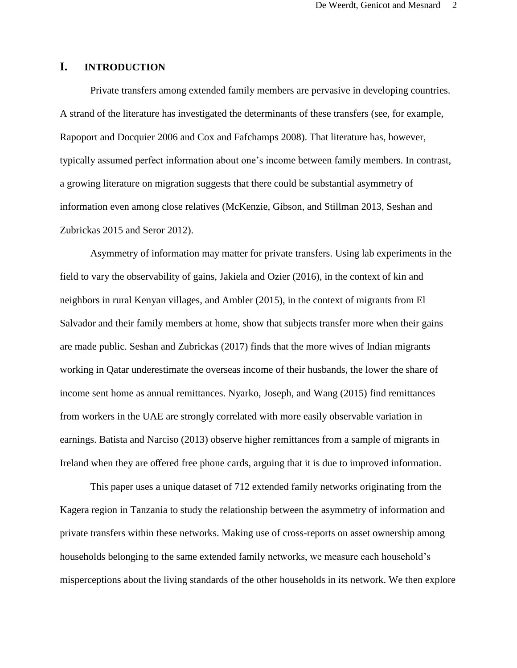# **I. INTRODUCTION**

Private transfers among extended family members are pervasive in developing countries. A strand of the literature has investigated the determinants of these transfers (see, for example, Rapoport and Docquier 2006 and Cox and Fafchamps 2008). That literature has, however, typically assumed perfect information about one's income between family members. In contrast, a growing literature on migration suggests that there could be substantial asymmetry of information even among close relatives (McKenzie, Gibson, and Stillman 2013, Seshan and Zubrickas 2015 and Seror 2012).

Asymmetry of information may matter for private transfers. Using lab experiments in the field to vary the observability of gains, Jakiela and Ozier (2016), in the context of kin and neighbors in rural Kenyan villages, and Ambler (2015), in the context of migrants from El Salvador and their family members at home, show that subjects transfer more when their gains are made public. Seshan and Zubrickas (2017) finds that the more wives of Indian migrants working in Qatar underestimate the overseas income of their husbands, the lower the share of income sent home as annual remittances. Nyarko, Joseph, and Wang (2015) find remittances from workers in the UAE are strongly correlated with more easily observable variation in earnings. Batista and Narciso (2013) observe higher remittances from a sample of migrants in Ireland when they are offered free phone cards, arguing that it is due to improved information.

This paper uses a unique dataset of 712 extended family networks originating from the Kagera region in Tanzania to study the relationship between the asymmetry of information and private transfers within these networks. Making use of cross-reports on asset ownership among households belonging to the same extended family networks, we measure each household's misperceptions about the living standards of the other households in its network. We then explore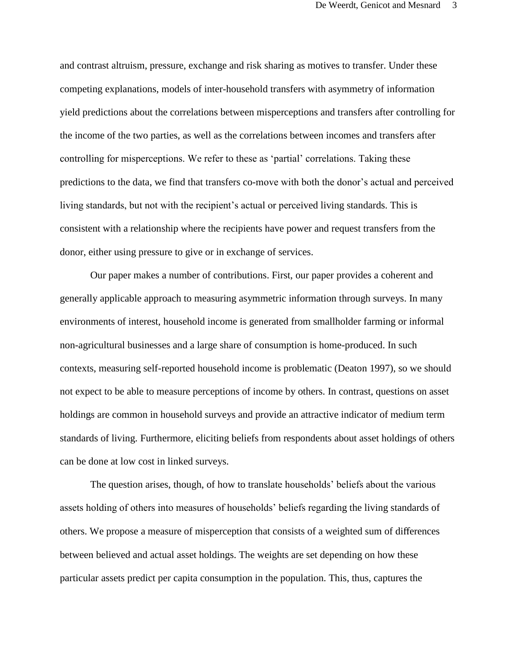and contrast altruism, pressure, exchange and risk sharing as motives to transfer. Under these competing explanations, models of inter-household transfers with asymmetry of information yield predictions about the correlations between misperceptions and transfers after controlling for the income of the two parties, as well as the correlations between incomes and transfers after controlling for misperceptions. We refer to these as 'partial' correlations. Taking these predictions to the data, we find that transfers co-move with both the donor's actual and perceived living standards, but not with the recipient's actual or perceived living standards. This is consistent with a relationship where the recipients have power and request transfers from the donor, either using pressure to give or in exchange of services.

Our paper makes a number of contributions. First, our paper provides a coherent and generally applicable approach to measuring asymmetric information through surveys. In many environments of interest, household income is generated from smallholder farming or informal non-agricultural businesses and a large share of consumption is home-produced. In such contexts, measuring self-reported household income is problematic (Deaton 1997), so we should not expect to be able to measure perceptions of income by others. In contrast, questions on asset holdings are common in household surveys and provide an attractive indicator of medium term standards of living. Furthermore, eliciting beliefs from respondents about asset holdings of others can be done at low cost in linked surveys.

The question arises, though, of how to translate households' beliefs about the various assets holding of others into measures of households' beliefs regarding the living standards of others. We propose a measure of misperception that consists of a weighted sum of differences between believed and actual asset holdings. The weights are set depending on how these particular assets predict per capita consumption in the population. This, thus, captures the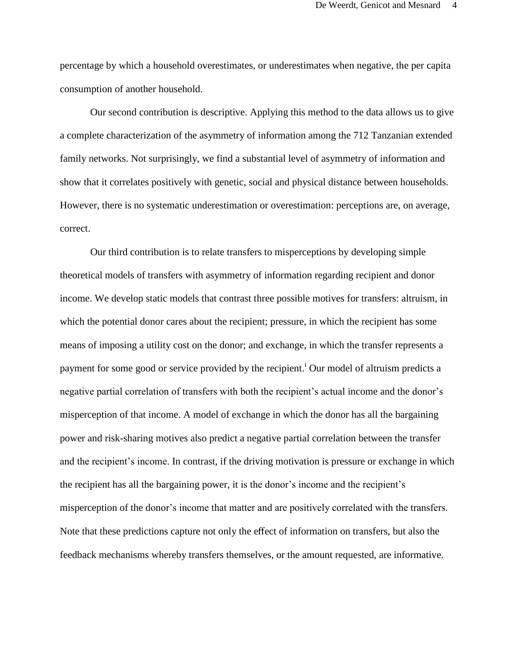percentage by which a household overestimates, or underestimates when negative, the per capita consumption of another household.

Our second contribution is descriptive. Applying this method to the data allows us to give a complete characterization of the asymmetry of information among the 712 Tanzanian extended family networks. Not surprisingly, we find a substantial level of asymmetry of information and show that it correlates positively with genetic, social and physical distance between households. However, there is no systematic underestimation or overestimation: perceptions are, on average, correct.

Our third contribution is to relate transfers to misperceptions by developing simple theoretical models of transfers with asymmetry of information regarding recipient and donor income. We develop static models that contrast three possible motives for transfers: altruism, in which the potential donor cares about the recipient; pressure, in which the recipient has some means of imposing a utility cost on the donor; and exchange, in which the transfer represents a payment for some good or service provided by the recipient.<sup>1</sup> Our model of altruism predicts a negative partial correlation of transfers with both the recipient's actual income and the donor's misperception of that income. A model of exchange in which the donor has all the bargaining power and risk-sharing motives also predict a negative partial correlation between the transfer and the recipient's income. In contrast, if the driving motivation is pressure or exchange in which the recipient has all the bargaining power, it is the donor's income and the recipient's misperception of the donor's income that matter and are positively correlated with the transfers. Note that these predictions capture not only the effect of information on transfers, but also the feedback mechanisms whereby transfers themselves, or the amount requested, are informative.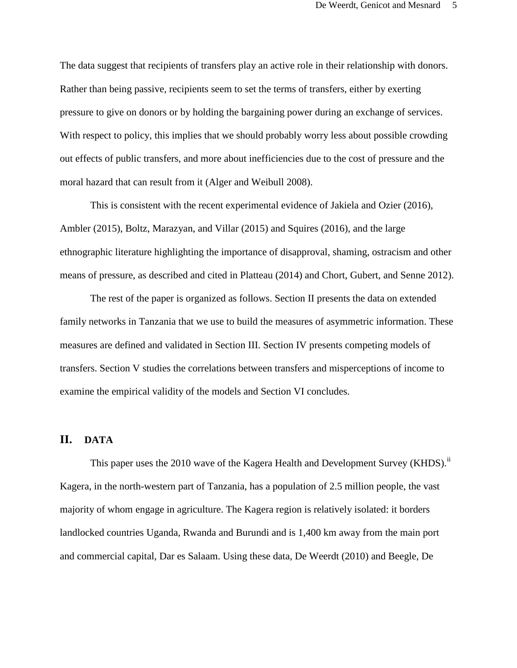The data suggest that recipients of transfers play an active role in their relationship with donors. Rather than being passive, recipients seem to set the terms of transfers, either by exerting pressure to give on donors or by holding the bargaining power during an exchange of services. With respect to policy, this implies that we should probably worry less about possible crowding out effects of public transfers, and more about inefficiencies due to the cost of pressure and the moral hazard that can result from it (Alger and Weibull 2008).

This is consistent with the recent experimental evidence of Jakiela and Ozier (2016), Ambler (2015), Boltz, Marazyan, and Villar (2015) and Squires (2016), and the large ethnographic literature highlighting the importance of disapproval, shaming, ostracism and other means of pressure, as described and cited in Platteau (2014) and Chort, Gubert, and Senne 2012).

The rest of the paper is organized as follows. Section II presents the data on extended family networks in Tanzania that we use to build the measures of asymmetric information. These measures are defined and validated in Section III. Section IV presents competing models of transfers. Section V studies the correlations between transfers and misperceptions of income to examine the empirical validity of the models and Section VI concludes.

# **II. DATA**

This paper uses the 2010 wave of the Kagera Health and Development Survey (KHDS).<sup>ii</sup> Kagera, in the north-western part of Tanzania, has a population of 2.5 million people, the vast majority of whom engage in agriculture. The Kagera region is relatively isolated: it borders landlocked countries Uganda, Rwanda and Burundi and is 1,400 km away from the main port and commercial capital, Dar es Salaam. Using these data, De Weerdt (2010) and Beegle, De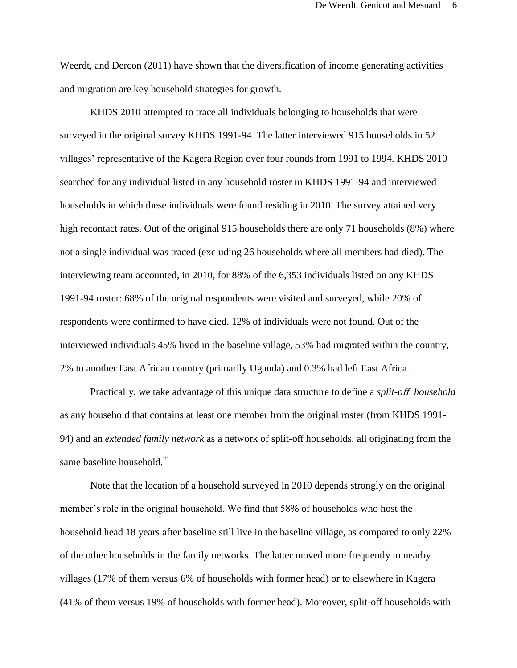Weerdt, and Dercon (2011) have shown that the diversification of income generating activities and migration are key household strategies for growth.

KHDS 2010 attempted to trace all individuals belonging to households that were surveyed in the original survey KHDS 1991-94. The latter interviewed 915 households in 52 villages' representative of the Kagera Region over four rounds from 1991 to 1994. KHDS 2010 searched for any individual listed in any household roster in KHDS 1991-94 and interviewed households in which these individuals were found residing in 2010. The survey attained very high recontact rates. Out of the original 915 households there are only 71 households (8%) where not a single individual was traced (excluding 26 households where all members had died). The interviewing team accounted, in 2010, for 88% of the 6,353 individuals listed on any KHDS 1991-94 roster: 68% of the original respondents were visited and surveyed, while 20% of respondents were confirmed to have died. 12% of individuals were not found. Out of the interviewed individuals 45% lived in the baseline village, 53% had migrated within the country, 2% to another East African country (primarily Uganda) and 0.3% had left East Africa.

Practically, we take advantage of this unique data structure to define a *split-o*ff *household* as any household that contains at least one member from the original roster (from KHDS 1991- 94) and an *extended family network* as a network of split-off households, all originating from the same baseline household.<sup>iii</sup>

Note that the location of a household surveyed in 2010 depends strongly on the original member's role in the original household. We find that 58% of households who host the household head 18 years after baseline still live in the baseline village, as compared to only 22% of the other households in the family networks. The latter moved more frequently to nearby villages (17% of them versus 6% of households with former head) or to elsewhere in Kagera (41% of them versus 19% of households with former head). Moreover, split-off households with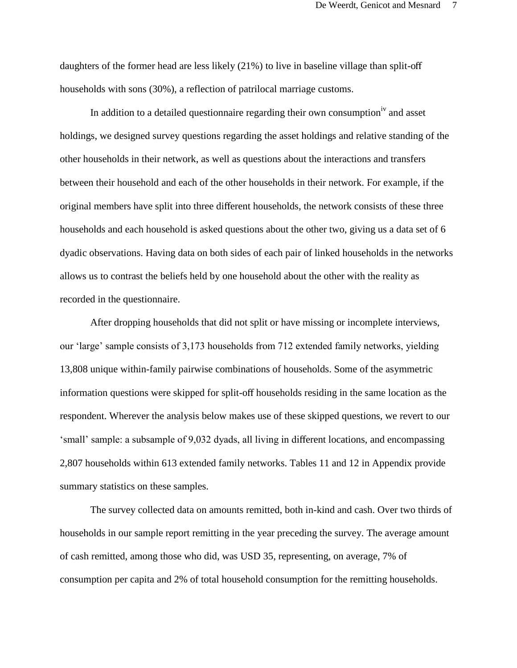daughters of the former head are less likely (21%) to live in baseline village than split-off households with sons (30%), a reflection of patrilocal marriage customs.

In addition to a detailed questionnaire regarding their own consumption<sup>iv</sup> and asset holdings, we designed survey questions regarding the asset holdings and relative standing of the other households in their network, as well as questions about the interactions and transfers between their household and each of the other households in their network. For example, if the original members have split into three different households, the network consists of these three households and each household is asked questions about the other two, giving us a data set of 6 dyadic observations. Having data on both sides of each pair of linked households in the networks allows us to contrast the beliefs held by one household about the other with the reality as recorded in the questionnaire.

After dropping households that did not split or have missing or incomplete interviews, our 'large' sample consists of 3,173 households from 712 extended family networks, yielding 13,808 unique within-family pairwise combinations of households. Some of the asymmetric information questions were skipped for split-off households residing in the same location as the respondent. Wherever the analysis below makes use of these skipped questions, we revert to our 'small' sample: a subsample of 9,032 dyads, all living in different locations, and encompassing 2,807 households within 613 extended family networks. Tables 11 and 12 in Appendix provide summary statistics on these samples.

The survey collected data on amounts remitted, both in-kind and cash. Over two thirds of households in our sample report remitting in the year preceding the survey. The average amount of cash remitted, among those who did, was USD 35, representing, on average, 7% of consumption per capita and 2% of total household consumption for the remitting households.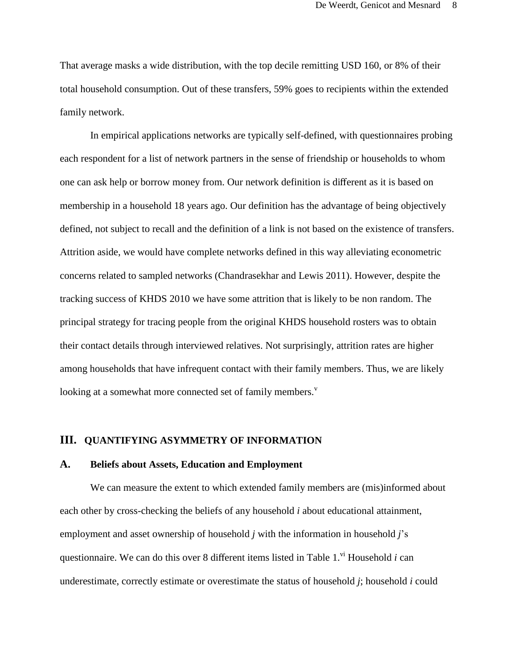That average masks a wide distribution, with the top decile remitting USD 160, or 8% of their total household consumption. Out of these transfers, 59% goes to recipients within the extended family network.

In empirical applications networks are typically self-defined, with questionnaires probing each respondent for a list of network partners in the sense of friendship or households to whom one can ask help or borrow money from. Our network definition is different as it is based on membership in a household 18 years ago. Our definition has the advantage of being objectively defined, not subject to recall and the definition of a link is not based on the existence of transfers. Attrition aside, we would have complete networks defined in this way alleviating econometric concerns related to sampled networks (Chandrasekhar and Lewis 2011). However, despite the tracking success of KHDS 2010 we have some attrition that is likely to be non random. The principal strategy for tracing people from the original KHDS household rosters was to obtain their contact details through interviewed relatives. Not surprisingly, attrition rates are higher among households that have infrequent contact with their family members. Thus, we are likely looking at a somewhat more connected set of family members.<sup>v</sup>

#### **III. QUANTIFYING ASYMMETRY OF INFORMATION**

# **A. Beliefs about Assets, Education and Employment**

We can measure the extent to which extended family members are (mis)informed about each other by cross-checking the beliefs of any household *i* about educational attainment, employment and asset ownership of household *j* with the information in household *j*'s questionnaire. We can do this over 8 different items listed in Table  $1$ .<sup>vi</sup> Household *i* can underestimate, correctly estimate or overestimate the status of household *j*; household *i* could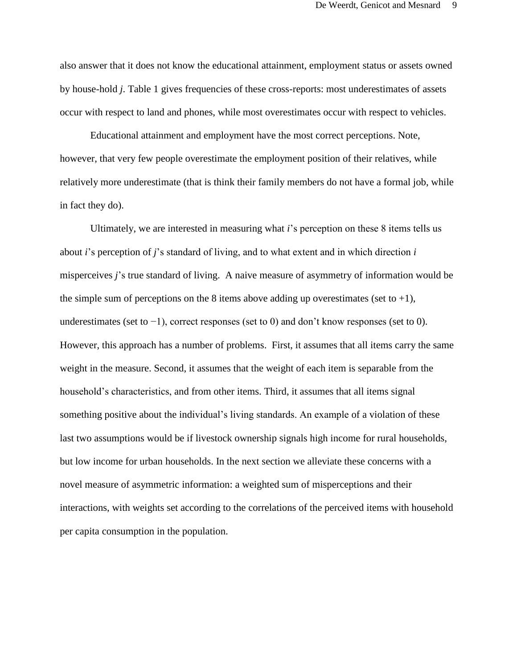also answer that it does not know the educational attainment, employment status or assets owned by house-hold *j*. Table 1 gives frequencies of these cross-reports: most underestimates of assets occur with respect to land and phones, while most overestimates occur with respect to vehicles.

Educational attainment and employment have the most correct perceptions. Note, however, that very few people overestimate the employment position of their relatives, while relatively more underestimate (that is think their family members do not have a formal job, while in fact they do).

Ultimately, we are interested in measuring what *i*'s perception on these 8 items tells us about *i*'s perception of *j*'s standard of living, and to what extent and in which direction *i*  misperceives *j*'s true standard of living. A naive measure of asymmetry of information would be the simple sum of perceptions on the 8 items above adding up overestimates (set to  $+1$ ), underestimates (set to −1), correct responses (set to 0) and don't know responses (set to 0). However, this approach has a number of problems. First, it assumes that all items carry the same weight in the measure. Second, it assumes that the weight of each item is separable from the household's characteristics, and from other items. Third, it assumes that all items signal something positive about the individual's living standards. An example of a violation of these last two assumptions would be if livestock ownership signals high income for rural households, but low income for urban households. In the next section we alleviate these concerns with a novel measure of asymmetric information: a weighted sum of misperceptions and their interactions, with weights set according to the correlations of the perceived items with household per capita consumption in the population.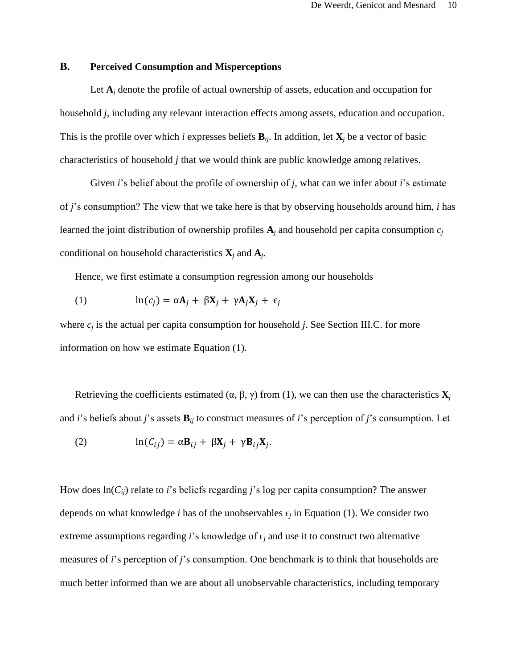# **B. Perceived Consumption and Misperceptions**

Let  $A_i$  denote the profile of actual ownership of assets, education and occupation for household *j*, including any relevant interaction effects among assets, education and occupation. This is the profile over which *i* expresses beliefs  $\mathbf{B}_{ii}$ . In addition, let  $\mathbf{X}_i$  be a vector of basic characteristics of household *j* that we would think are public knowledge among relatives.

Given *i*'s belief about the profile of ownership of *j*, what can we infer about *i*'s estimate of *j*'s consumption? The view that we take here is that by observing households around him, *i* has learned the joint distribution of ownership profiles  $A_j$  and household per capita consumption  $c_j$ conditional on household characteristics **X***<sup>j</sup>* and **A***<sup>j</sup>* .

Hence, we first estimate a consumption regression among our households

(1) 
$$
\ln(c_j) = \alpha A_j + \beta X_j + \gamma A_j X_j + \epsilon_j
$$

where  $c_i$  is the actual per capita consumption for household *j*. See Section III.C. for more information on how we estimate Equation (1).

Retrieving the coefficients estimated ( $\alpha$ ,  $\beta$ ,  $\gamma$ ) from (1), we can then use the characteristics  $\mathbf{X}_i$ and *i*'s beliefs about *j*'s assets **B***ij* to construct measures of *i*'s perception of *j*'s consumption. Let

(2) 
$$
\ln(C_{ij}) = \alpha \mathbf{B}_{ij} + \beta \mathbf{X}_j + \gamma \mathbf{B}_{ij} \mathbf{X}_j.
$$

How does ln(*Cij*) relate to *i*'s beliefs regarding *j*'s log per capita consumption? The answer depends on what knowledge *i* has of the unobservables  $\epsilon_j$  in Equation (1). We consider two extreme assumptions regarding *i*'s knowledge of  $\epsilon$ *j* and use it to construct two alternative measures of *i*'s perception of *j*'s consumption. One benchmark is to think that households are much better informed than we are about all unobservable characteristics, including temporary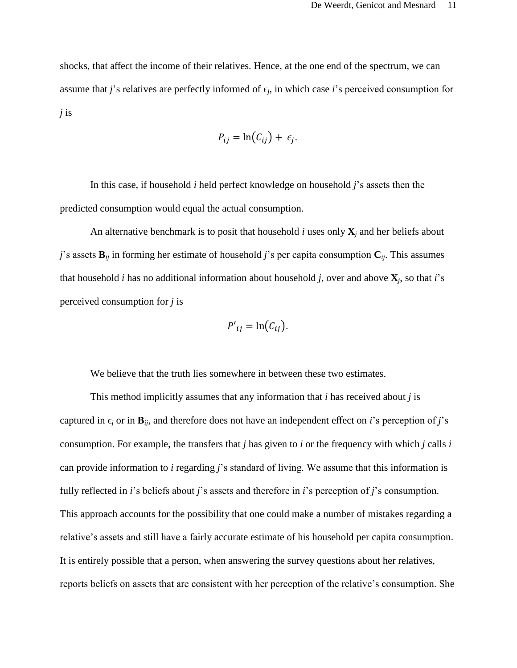shocks, that affect the income of their relatives. Hence, at the one end of the spectrum, we can assume that *j*'s relatives are perfectly informed of  $\epsilon_j$ , in which case *i*'s perceived consumption for *j* is

$$
P_{ij} = \ln(C_{ij}) + \epsilon_j.
$$

In this case, if household *i* held perfect knowledge on household *j*'s assets then the predicted consumption would equal the actual consumption.

An alternative benchmark is to posit that household *i* uses only  $\mathbf{X}_i$  and her beliefs about *j*'s assets  $\mathbf{B}_{ij}$  in forming her estimate of household *j*'s per capita consumption  $\mathbf{C}_{ij}$ . This assumes that household *i* has no additional information about household *j*, over and above **X***<sup>j</sup>* , so that *i*'s perceived consumption for *j* is

$$
P'_{ij} = \ln(C_{ij}).
$$

We believe that the truth lies somewhere in between these two estimates.

This method implicitly assumes that any information that *i* has received about *j* is captured in  $\epsilon_j$  or in  $\mathbf{B}_{ij}$ , and therefore does not have an independent effect on *i*'s perception of *j*'s consumption. For example, the transfers that *j* has given to *i* or the frequency with which *j* calls *i*  can provide information to *i* regarding *j*'s standard of living. We assume that this information is fully reflected in *i*'s beliefs about *j*'s assets and therefore in *i*'s perception of *j*'s consumption. This approach accounts for the possibility that one could make a number of mistakes regarding a relative's assets and still have a fairly accurate estimate of his household per capita consumption. It is entirely possible that a person, when answering the survey questions about her relatives, reports beliefs on assets that are consistent with her perception of the relative's consumption. She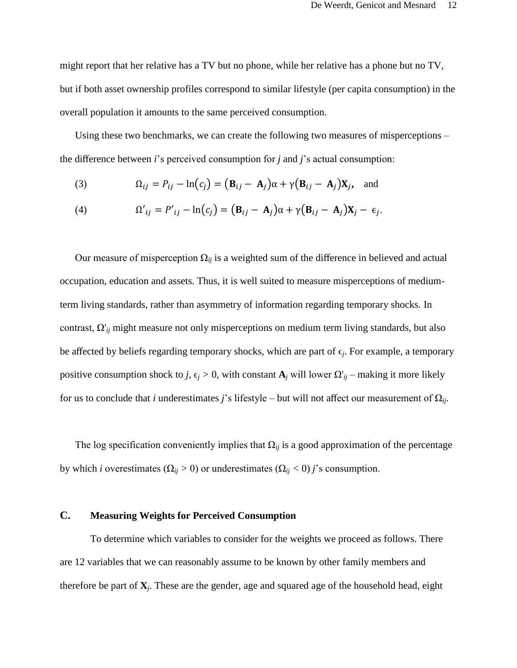might report that her relative has a TV but no phone, while her relative has a phone but no TV, but if both asset ownership profiles correspond to similar lifestyle (per capita consumption) in the overall population it amounts to the same perceived consumption.

Using these two benchmarks, we can create the following two measures of misperceptions – the difference between *i*'s perceived consumption for *j* and *j*'s actual consumption:

(3) 
$$
\Omega_{ij} = P_{ij} - \ln(c_j) = (\mathbf{B}_{ij} - \mathbf{A}_j)\alpha + \gamma(\mathbf{B}_{ij} - \mathbf{A}_j)\mathbf{X}_j, \text{ and}
$$

(4) 
$$
\Omega'_{ij} = P'_{ij} - \ln(c_j) = (\mathbf{B}_{ij} - \mathbf{A}_j)\alpha + \gamma(\mathbf{B}_{ij} - \mathbf{A}_j)\mathbf{X}_j - \epsilon_j.
$$

Our measure of misperception  $\Omega_{ij}$  is a weighted sum of the difference in believed and actual occupation, education and assets. Thus, it is well suited to measure misperceptions of mediumterm living standards, rather than asymmetry of information regarding temporary shocks. In contrast, Ω'*ij* might measure not only misperceptions on medium term living standards, but also be affected by beliefs regarding temporary shocks, which are part of  $\epsilon_j$ . For example, a temporary positive consumption shock to *j*,  $\epsilon_j > 0$ , with constant  $\mathbf{A}_j$  will lower  $\Omega'_{ij}$  – making it more likely for us to conclude that *i* underestimates *j*'s lifestyle – but will not affect our measurement of  $\Omega_{ij}$ .

The log specification conveniently implies that  $\Omega_{ii}$  is a good approximation of the percentage by which *i* overestimates ( $\Omega_{ij} > 0$ ) or underestimates ( $\Omega_{ij} < 0$ ) *j*'s consumption.

# **C. Measuring Weights for Perceived Consumption**

To determine which variables to consider for the weights we proceed as follows. There are 12 variables that we can reasonably assume to be known by other family members and therefore be part of **X***<sup>j</sup>* . These are the gender, age and squared age of the household head, eight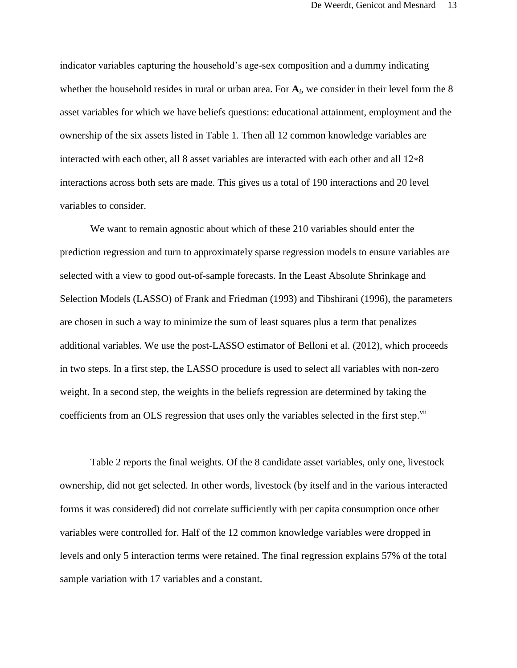indicator variables capturing the household's age-sex composition and a dummy indicating whether the household resides in rural or urban area. For  $A_i$ , we consider in their level form the 8 asset variables for which we have beliefs questions: educational attainment, employment and the ownership of the six assets listed in Table 1. Then all 12 common knowledge variables are interacted with each other, all 8 asset variables are interacted with each other and all 12∗8 interactions across both sets are made. This gives us a total of 190 interactions and 20 level variables to consider.

We want to remain agnostic about which of these 210 variables should enter the prediction regression and turn to approximately sparse regression models to ensure variables are selected with a view to good out-of-sample forecasts. In the Least Absolute Shrinkage and Selection Models (LASSO) of Frank and Friedman (1993) and Tibshirani (1996), the parameters are chosen in such a way to minimize the sum of least squares plus a term that penalizes additional variables. We use the post-LASSO estimator of Belloni et al. (2012), which proceeds in two steps. In a first step, the LASSO procedure is used to select all variables with non-zero weight. In a second step, the weights in the beliefs regression are determined by taking the coefficients from an OLS regression that uses only the variables selected in the first step.<sup>vii</sup>

Table 2 reports the final weights. Of the 8 candidate asset variables, only one, livestock ownership, did not get selected. In other words, livestock (by itself and in the various interacted forms it was considered) did not correlate sufficiently with per capita consumption once other variables were controlled for. Half of the 12 common knowledge variables were dropped in levels and only 5 interaction terms were retained. The final regression explains 57% of the total sample variation with 17 variables and a constant.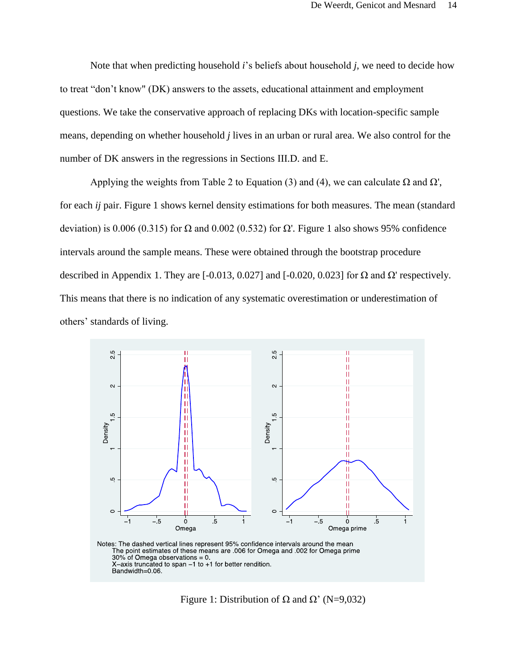Note that when predicting household *i*'s beliefs about household *j*, we need to decide how to treat "don't know" (DK) answers to the assets, educational attainment and employment questions. We take the conservative approach of replacing DKs with location-specific sample means, depending on whether household *j* lives in an urban or rural area. We also control for the number of DK answers in the regressions in Sections III.D. and E.

Applying the weights from Table 2 to Equation (3) and (4), we can calculate  $\Omega$  and  $\Omega'$ , for each *ij* pair. Figure 1 shows kernel density estimations for both measures. The mean (standard deviation) is 0.006 (0.315) for  $\Omega$  and 0.002 (0.532) for  $\Omega'$ . Figure 1 also shows 95% confidence intervals around the sample means. These were obtained through the bootstrap procedure described in Appendix 1. They are  $[-0.013, 0.027]$  and  $[-0.020, 0.023]$  for  $\Omega$  and  $\Omega'$  respectively. This means that there is no indication of any systematic overestimation or underestimation of others' standards of living.



Figure 1: Distribution of  $\Omega$  and  $\Omega'$  (N=9,032)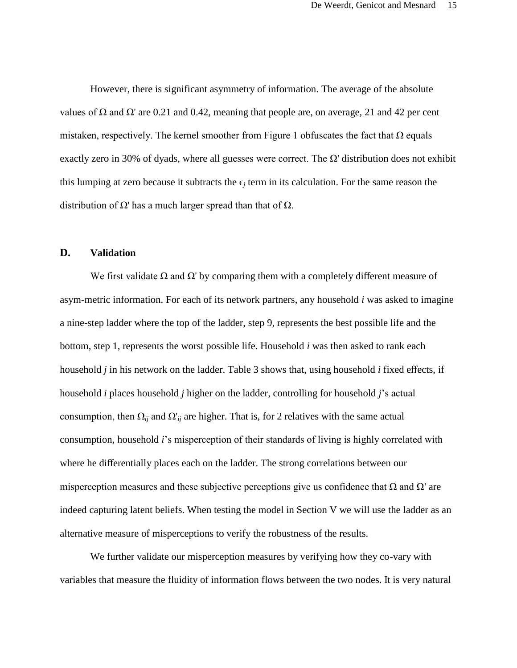However, there is significant asymmetry of information. The average of the absolute values of Ω and  $Ω'$  are 0.21 and 0.42, meaning that people are, on average, 21 and 42 per cent mistaken, respectively. The kernel smoother from Figure 1 obfuscates the fact that  $\Omega$  equals exactly zero in 30% of dyads, where all guesses were correct. The  $\Omega$ ' distribution does not exhibit this lumping at zero because it subtracts the  $\epsilon_i$  term in its calculation. For the same reason the distribution of  $Ω'$  has a much larger spread than that of  $Ω$ .

# **D. Validation**

We first validate  $\Omega$  and  $\Omega'$  by comparing them with a completely different measure of asym-metric information. For each of its network partners, any household *i* was asked to imagine a nine-step ladder where the top of the ladder, step 9, represents the best possible life and the bottom, step 1, represents the worst possible life. Household *i* was then asked to rank each household *j* in his network on the ladder. Table 3 shows that, using household *i* fixed effects, if household *i* places household *j* higher on the ladder, controlling for household *j*'s actual consumption, then  $\Omega_{ij}$  and  $\Omega'_{ij}$  are higher. That is, for 2 relatives with the same actual consumption, household *i*'s misperception of their standards of living is highly correlated with where he differentially places each on the ladder. The strong correlations between our misperception measures and these subjective perceptions give us confidence that  $\Omega$  and  $\Omega'$  are indeed capturing latent beliefs. When testing the model in Section V we will use the ladder as an alternative measure of misperceptions to verify the robustness of the results.

We further validate our misperception measures by verifying how they co-vary with variables that measure the fluidity of information flows between the two nodes. It is very natural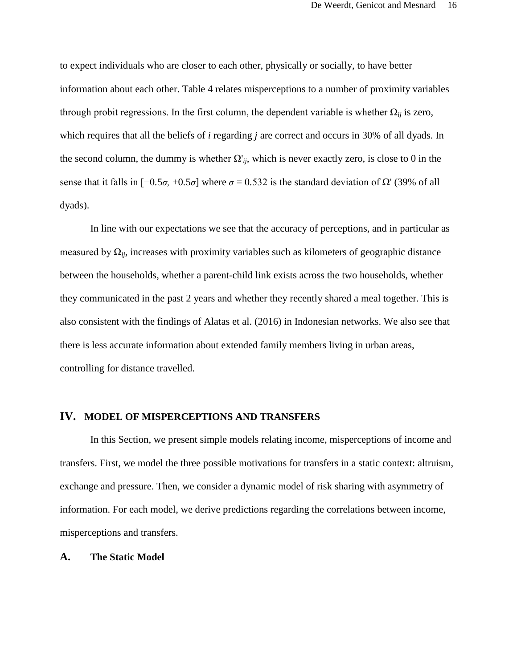to expect individuals who are closer to each other, physically or socially, to have better information about each other. Table 4 relates misperceptions to a number of proximity variables through probit regressions. In the first column, the dependent variable is whether  $\Omega_{ii}$  is zero, which requires that all the beliefs of *i* regarding *j* are correct and occurs in 30% of all dyads. In the second column, the dummy is whether  $\Omega'_{ij}$ , which is never exactly zero, is close to 0 in the sense that it falls in  $[-0.5\sigma, +0.5\sigma]$  where  $\sigma = 0.532$  is the standard deviation of Ω' (39% of all dyads).

In line with our expectations we see that the accuracy of perceptions, and in particular as measured by  $\Omega_{ii}$ , increases with proximity variables such as kilometers of geographic distance between the households, whether a parent-child link exists across the two households, whether they communicated in the past 2 years and whether they recently shared a meal together. This is also consistent with the findings of Alatas et al. (2016) in Indonesian networks. We also see that there is less accurate information about extended family members living in urban areas, controlling for distance travelled.

#### **IV. MODEL OF MISPERCEPTIONS AND TRANSFERS**

In this Section, we present simple models relating income, misperceptions of income and transfers. First, we model the three possible motivations for transfers in a static context: altruism, exchange and pressure. Then, we consider a dynamic model of risk sharing with asymmetry of information. For each model, we derive predictions regarding the correlations between income, misperceptions and transfers.

#### **A. The Static Model**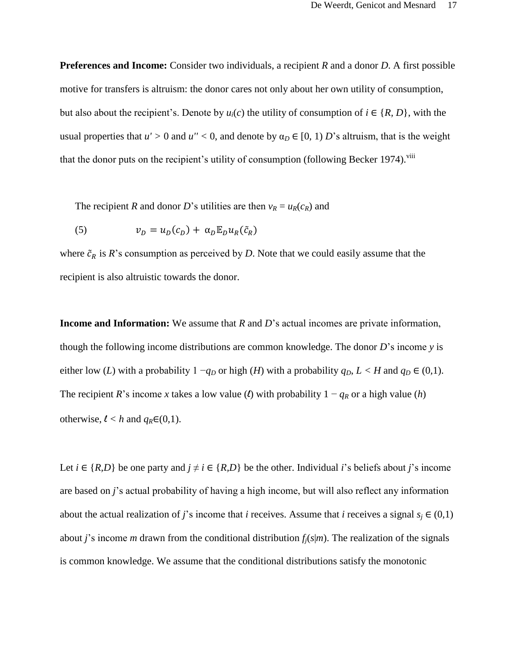**Preferences and Income:** Consider two individuals, a recipient *R* and a donor *D*. A first possible motive for transfers is altruism: the donor cares not only about her own utility of consumption, but also about the recipient's. Denote by  $u_i(c)$  the utility of consumption of  $i \in \{R, D\}$ , with the usual properties that  $u' > 0$  and  $u'' < 0$ , and denote by  $\alpha_D \in [0, 1)$  *D*'s altruism, that is the weight that the donor puts on the recipient's utility of consumption (following Becker 1974).<sup>viii</sup>

The recipient *R* and donor *D*'s utilities are then  $v_R = u_R(c_R)$  and

(5) 
$$
v_D = u_D(c_D) + \alpha_D \mathbb{E}_D u_R(\tilde{c}_R)
$$

where  $\tilde{c}_R$  is  $R$ 's consumption as perceived by *D*. Note that we could easily assume that the recipient is also altruistic towards the donor.

**Income and Information:** We assume that *R* and *D*'s actual incomes are private information, though the following income distributions are common knowledge. The donor *D*'s income *y* is either low (*L*) with a probability  $1 - q_D$  or high (*H*) with a probability  $q_D$ ,  $L < H$  and  $q_D \in (0,1)$ . The recipient *R*'s income *x* takes a low value (*l*) with probability  $1 - q_R$  or a high value (*h*) otherwise,  $l < h$  and  $q_R \in (0,1)$ .

Let  $i \in \{R, D\}$  be one party and  $j \neq i \in \{R, D\}$  be the other. Individual *i*'s beliefs about *j*'s income are based on *j*'s actual probability of having a high income, but will also reflect any information about the actual realization of *j*'s income that *i* receives. Assume that *i* receives a signal  $s_i \in (0,1)$ about *j*'s income *m* drawn from the conditional distribution  $f_i$ ( $s$ |*m*). The realization of the signals is common knowledge. We assume that the conditional distributions satisfy the monotonic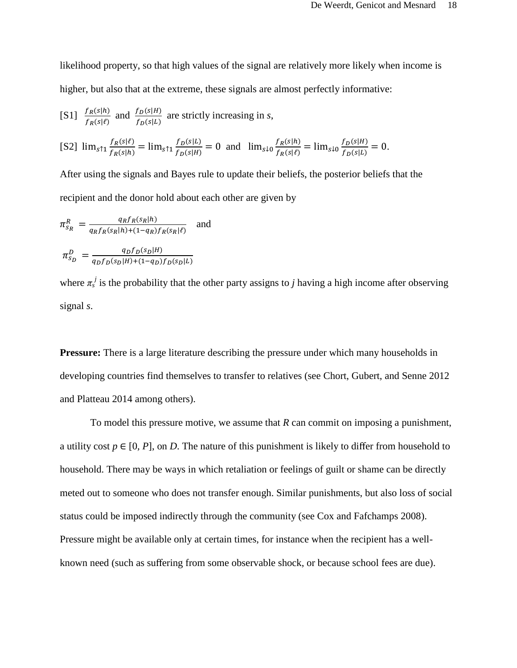likelihood property, so that high values of the signal are relatively more likely when income is higher, but also that at the extreme, these signals are almost perfectly informative:

[S1] 
$$
\frac{f_R(s|h)}{f_R(s|\ell)}
$$
 and  $\frac{f_D(s|H)}{f_D(s|L)}$  are strictly increasing in *s*,

$$
\text{[S2] } \lim_{s \uparrow 1} \frac{f_R(s|\ell)}{f_R(s|h)} = \lim_{s \uparrow 1} \frac{f_D(s|L)}{f_D(s|H)} = 0 \text{ and } \lim_{s \downarrow 0} \frac{f_R(s|h)}{f_R(s|\ell)} = \lim_{s \downarrow 0} \frac{f_D(s|H)}{f_D(s|L)} = 0.
$$

After using the signals and Bayes rule to update their beliefs, the posterior beliefs that the recipient and the donor hold about each other are given by

$$
\pi_{s_R}^R = \frac{q_R f_R(s_R|h)}{q_R f_R(s_R|h) + (1 - q_R) f_R(s_R|\ell)} \text{ and}
$$
  

$$
\pi_{s_D}^D = \frac{q_D f_D(s_D|h)}{q_D f_D(s_D|h) + (1 - q_D) f_D(s_D|L)}
$$

where  $\pi_s^j$  is the probability that the other party assigns to *j* having a high income after observing signal *s*.

**Pressure:** There is a large literature describing the pressure under which many households in developing countries find themselves to transfer to relatives (see Chort, Gubert, and Senne 2012 and Platteau 2014 among others).

To model this pressure motive, we assume that *R* can commit on imposing a punishment, a utility cost  $p \in [0, P]$ , on *D*. The nature of this punishment is likely to differ from household to household. There may be ways in which retaliation or feelings of guilt or shame can be directly meted out to someone who does not transfer enough. Similar punishments, but also loss of social status could be imposed indirectly through the community (see Cox and Fafchamps 2008). Pressure might be available only at certain times, for instance when the recipient has a wellknown need (such as suffering from some observable shock, or because school fees are due).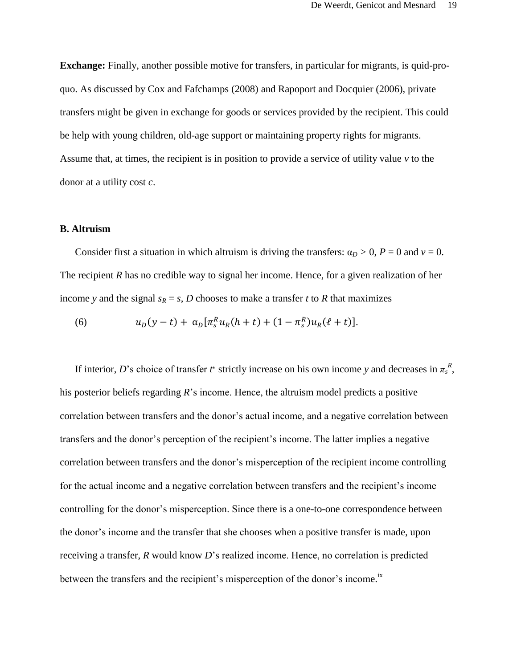**Exchange:** Finally, another possible motive for transfers, in particular for migrants, is quid-proquo. As discussed by Cox and Fafchamps (2008) and Rapoport and Docquier (2006), private transfers might be given in exchange for goods or services provided by the recipient. This could be help with young children, old-age support or maintaining property rights for migrants. Assume that, at times, the recipient is in position to provide a service of utility value *v* to the donor at a utility cost *c*.

# **B. Altruism**

Consider first a situation in which altruism is driving the transfers:  $\alpha_D > 0$ ,  $P = 0$  and  $v = 0$ . The recipient *R* has no credible way to signal her income. Hence, for a given realization of her income *y* and the signal  $s_R = s$ , *D* chooses to make a transfer *t* to *R* that maximizes

(6) 
$$
u_D(y-t) + \alpha_D[\pi_S^R u_R(h+t) + (1-\pi_S^R)u_R(\ell+t)].
$$

If interior, *D*'s choice of transfer *t*<sup>\*</sup> strictly increase on his own income *y* and decreases in  $\pi_s^R$ , his posterior beliefs regarding *R*'s income. Hence, the altruism model predicts a positive correlation between transfers and the donor's actual income, and a negative correlation between transfers and the donor's perception of the recipient's income. The latter implies a negative correlation between transfers and the donor's misperception of the recipient income controlling for the actual income and a negative correlation between transfers and the recipient's income controlling for the donor's misperception. Since there is a one-to-one correspondence between the donor's income and the transfer that she chooses when a positive transfer is made, upon receiving a transfer, *R* would know *D*'s realized income. Hence, no correlation is predicted between the transfers and the recipient's misperception of the donor's income.<sup>ix</sup>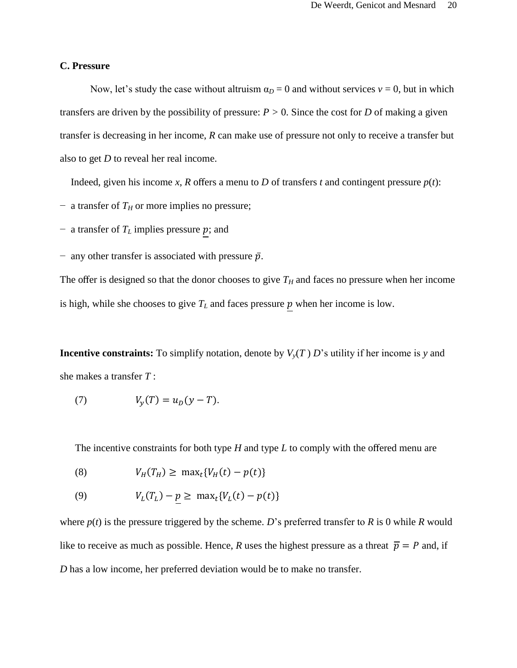# **C. Pressure**

Now, let's study the case without altruism  $\alpha_D = 0$  and without services  $v = 0$ , but in which transfers are driven by the possibility of pressure:  $P > 0$ . Since the cost for *D* of making a given transfer is decreasing in her income, *R* can make use of pressure not only to receive a transfer but also to get *D* to reveal her real income.

Indeed, given his income *x*, *R* offers a menu to *D* of transfers *t* and contingent pressure  $p(t)$ :

- − a transfer of *T<sup>H</sup>* or more implies no pressure;
- − a transfer of  $T<sub>L</sub>$  implies pressure p; and
- $-$  any other transfer is associated with pressure  $\bar{p}$ .

The offer is designed so that the donor chooses to give  $T_H$  and faces no pressure when her income is high, while she chooses to give  $T_L$  and faces pressure  $p$  when her income is low.

**Incentive constraints:** To simplify notation, denote by  $V_y(T) D$ 's utility if her income is *y* and she makes a transfer *T* :

(7) 
$$
V_{y}(T) = u_{D}(y - T).
$$

The incentive constraints for both type *H* and type *L* to comply with the offered menu are

$$
(8) \tV_H(T_H) \geq \max_t \{ V_H(t) - p(t) \}
$$

(9) 
$$
V_L(T_L) - p \ge \max_t \{ V_L(t) - p(t) \}
$$

where  $p(t)$  is the pressure triggered by the scheme. *D*'s preferred transfer to *R* is 0 while *R* would like to receive as much as possible. Hence, *R* uses the highest pressure as a threat  $\bar{p} = P$  and, if *D* has a low income, her preferred deviation would be to make no transfer.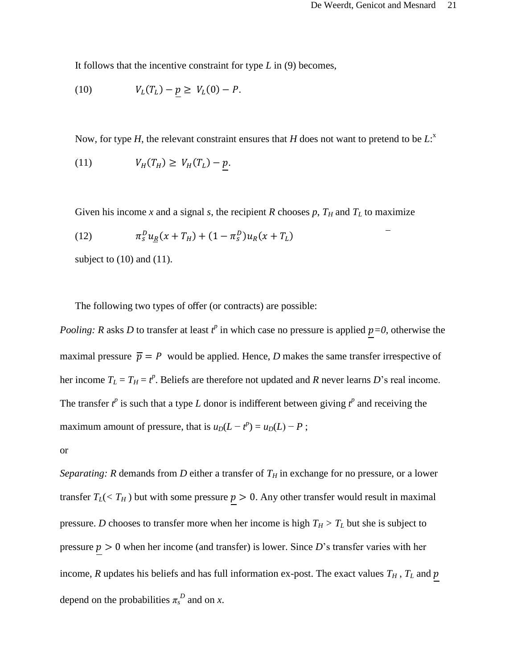It follows that the incentive constraint for type *L* in (9) becomes,

(10) 
$$
V_L(T_L) - p \geq V_L(0) - P.
$$

Now, for type *H*, the relevant constraint ensures that *H* does not want to pretend to be *L*:<sup>x</sup>

$$
(11) \tV_H(T_H) \ge V_H(T_L) - p.
$$

Given his income *x* and a signal *s*, the recipient *R* chooses  $p$ ,  $T_H$  and  $T_L$  to maximize

(12) 
$$
\pi_S^D u_R(x + T_H) + (1 - \pi_S^D) u_R(x + T_L)
$$

subject to  $(10)$  and  $(11)$ .

The following two types of offer (or contracts) are possible:

*Pooling: R* asks *D* to transfer at least  $t^p$  in which case no pressure is applied  $p=0$ , otherwise the maximal pressure  $\bar{p} = P$  would be applied. Hence, *D* makes the same transfer irrespective of her income  $T_L = T_H = t^p$ . Beliefs are therefore not updated and *R* never learns *D*'s real income. The transfer  $t^p$  is such that a type *L* donor is indifferent between giving  $t^p$  and receiving the maximum amount of pressure, that is  $u_D(L - t^p) = u_D(L) - P$ ;

or

*Separating: R* demands from *D* either a transfer of  $T_H$  in exchange for no pressure, or a lower transfer  $T_L$ (<  $T_H$ ) but with some pressure  $p > 0$ . Any other transfer would result in maximal pressure. *D* chooses to transfer more when her income is high  $T_H > T_L$  but she is subject to pressure  $p > 0$  when her income (and transfer) is lower. Since *D*'s transfer varies with her income, *R* updates his beliefs and has full information ex-post. The exact values  $T_H$ ,  $T_L$  and  $p$ depend on the probabilities  $\pi_s^D$  and on *x*.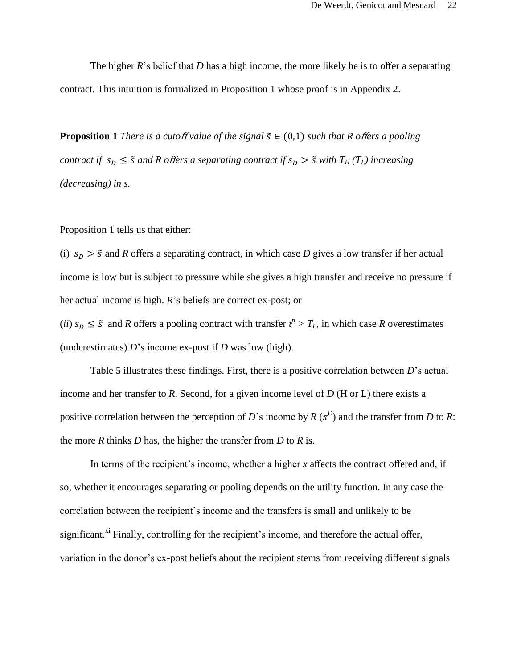The higher *R*'s belief that *D* has a high income, the more likely he is to offer a separating contract. This intuition is formalized in Proposition 1 whose proof is in Appendix 2.

**Proposition 1** *There is a cutoff value of the signal*  $\tilde{s} \in (0,1)$  *such that R offers a pooling contract if*  $s_p \leq \tilde{s}$  *and R offers a separating contract if*  $s_p > \tilde{s}$  *with*  $T_H(T_L)$  *increasing (decreasing) in s.*

Proposition 1 tells us that either:

(i)  $s_D > \tilde{s}$  and *R* offers a separating contract, in which case *D* gives a low transfer if her actual income is low but is subject to pressure while she gives a high transfer and receive no pressure if her actual income is high. *R*'s beliefs are correct ex-post; or

(*ii*)  $s_D \leq \tilde{s}$  and *R* offers a pooling contract with transfer  $t^p > T_L$ , in which case *R* overestimates (underestimates) *D*'s income ex-post if *D* was low (high).

Table 5 illustrates these findings. First, there is a positive correlation between *D*'s actual income and her transfer to *R*. Second, for a given income level of *D* (H or L) there exists a positive correlation between the perception of *D*'s income by  $R(\pi^D)$  and the transfer from *D* to *R*: the more *R* thinks *D* has, the higher the transfer from *D* to *R* is.

In terms of the recipient's income, whether a higher *x* affects the contract offered and, if so, whether it encourages separating or pooling depends on the utility function. In any case the correlation between the recipient's income and the transfers is small and unlikely to be significant.<sup>xi</sup> Finally, controlling for the recipient's income, and therefore the actual offer, variation in the donor's ex-post beliefs about the recipient stems from receiving different signals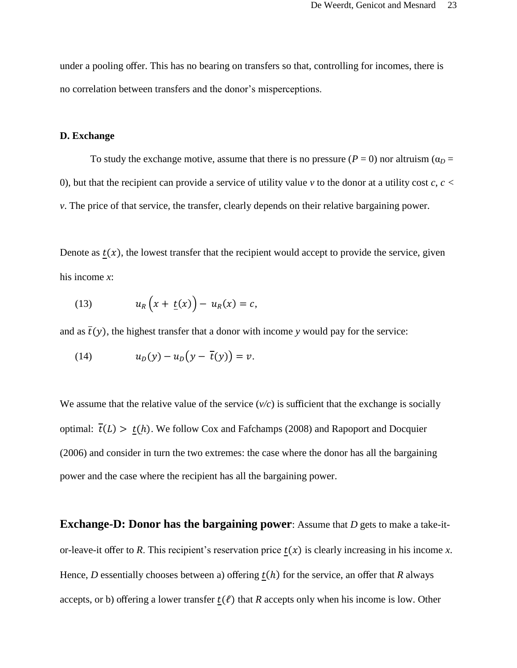under a pooling offer. This has no bearing on transfers so that, controlling for incomes, there is no correlation between transfers and the donor's misperceptions.

#### **D. Exchange**

To study the exchange motive, assume that there is no pressure  $(P = 0)$  nor altruism  $(\alpha_D =$ 0), but that the recipient can provide a service of utility value  $\nu$  to the donor at a utility cost  $c, c <$ *v*. The price of that service, the transfer, clearly depends on their relative bargaining power.

Denote as  $t(x)$ , the lowest transfer that the recipient would accept to provide the service, given his income *x*:

(13) 
$$
u_R(x + \underline{t}(x)) - u_R(x) = c,
$$

and as  $\overline{t}(y)$ , the highest transfer that a donor with income *y* would pay for the service:

$$
(14) \t\t\t uD(y) - uD(y - \overline{t}(y)) = v.
$$

We assume that the relative value of the service  $(v/c)$  is sufficient that the exchange is socially optimal:  $\overline{t}(L) > t(h)$ . We follow Cox and Fafchamps (2008) and Rapoport and Docquier (2006) and consider in turn the two extremes: the case where the donor has all the bargaining power and the case where the recipient has all the bargaining power.

**Exchange-D: Donor has the bargaining power:** Assume that *D* gets to make a take-itor-leave-it offer to *R*. This recipient's reservation price  $t(x)$  is clearly increasing in his income *x*. Hence, *D* essentially chooses between a) offering  $t(h)$  for the service, an offer that *R* always accepts, or b) offering a lower transfer  $t(\ell)$  that *R* accepts only when his income is low. Other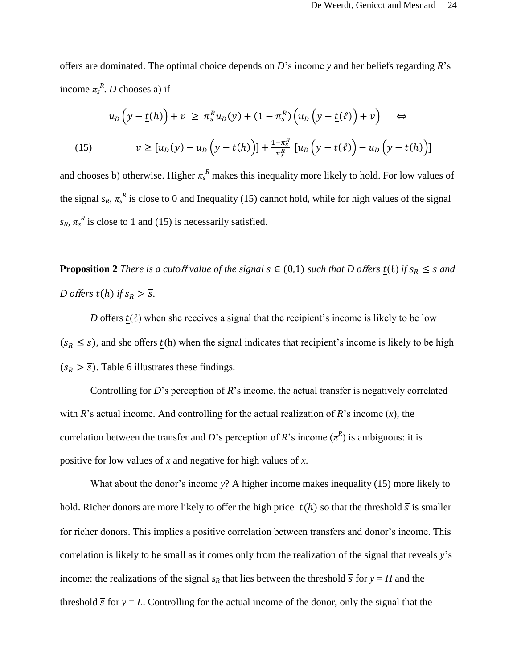offers are dominated. The optimal choice depends on *D*'s income *y* and her beliefs regarding *R*'s income  $\pi_s^R$ . *D* chooses a) if

$$
u_D\left(y - \underline{t}(h)\right) + v \ge \pi_s^R u_D(y) + (1 - \pi_s^R) \left(u_D\left(y - \underline{t}(\ell)\right) + v\right) \quad \Leftrightarrow
$$
\n
$$
v \ge \left[u_D(y) - u_D\left(y - \underline{t}(h)\right)\right] + \frac{1 - \pi_s^R}{\pi_s^R} \left[u_D\left(y - \underline{t}(\ell)\right) - u_D\left(y - \underline{t}(h)\right)\right]
$$

and chooses b) otherwise. Higher  $\pi_s^R$  makes this inequality more likely to hold. For low values of the signal  $s_R$ ,  $\pi_s^R$  is close to 0 and Inequality (15) cannot hold, while for high values of the signal  $s_R$ ,  $\pi_s^R$  is close to 1 and (15) is necessarily satisfied.

**Proposition 2** *There is a cutoff value of the signal*  $\overline{s} \in (0,1)$  *such that D offers*  $\underline{t}(\ell)$  *if*  $s_R \leq \overline{s}$  *and D offers*  $\underline{t}(h)$  *if*  $s_R > \overline{s}$ .

*D* offers  $t(\ell)$  when she receives a signal that the recipient's income is likely to be low  $(s_R \leq \overline{s})$ , and she offers  $t(h)$  when the signal indicates that recipient's income is likely to be high  $(s_R > \overline{s})$ . Table 6 illustrates these findings.

Controlling for *D*'s perception of *R*'s income, the actual transfer is negatively correlated with *R*'s actual income. And controlling for the actual realization of *R*'s income (*x*), the correlation between the transfer and *D*'s perception of *R*'s income  $(\pi^R)$  is ambiguous: it is positive for low values of *x* and negative for high values of *x*.

What about the donor's income *y*? A higher income makes inequality (15) more likely to hold. Richer donors are more likely to offer the high price  $t(h)$  so that the threshold  $\overline{s}$  is smaller for richer donors. This implies a positive correlation between transfers and donor's income. This correlation is likely to be small as it comes only from the realization of the signal that reveals *y*'s income: the realizations of the signal  $s_R$  that lies between the threshold  $\overline{s}$  for  $y = H$  and the threshold  $\overline{s}$  for  $y = L$ . Controlling for the actual income of the donor, only the signal that the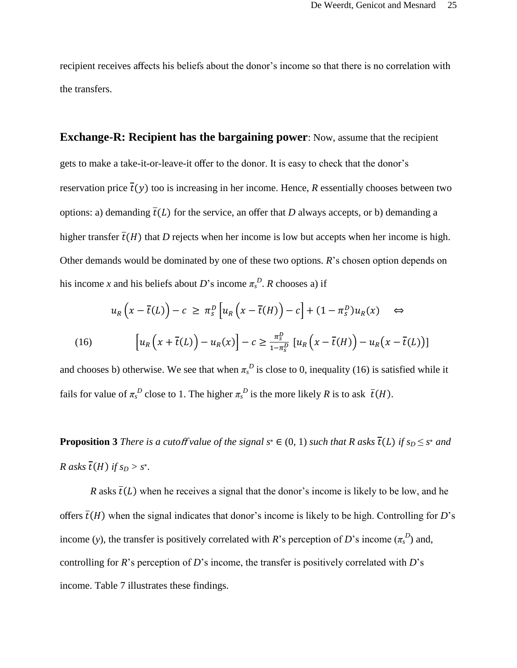recipient receives affects his beliefs about the donor's income so that there is no correlation with the transfers.

**Exchange-R: Recipient has the bargaining power**: Now, assume that the recipient gets to make a take-it-or-leave-it offer to the donor. It is easy to check that the donor's reservation price  $\overline{t}(v)$  too is increasing in her income. Hence, *R* essentially chooses between two options: a) demanding  $\overline{t}(L)$  for the service, an offer that *D* always accepts, or b) demanding a higher transfer  $\overline{t}(H)$  that *D* rejects when her income is low but accepts when her income is high. Other demands would be dominated by one of these two options. *R*'s chosen option depends on his income *x* and his beliefs about *D*'s income  $\pi_s^D$ . *R* chooses a) if

$$
u_R\left(x - \overline{t}(L)\right) - c \ge \pi_s^D\left[u_R\left(x - \overline{t}(H)\right) - c\right] + (1 - \pi_s^D)u_R(x) \quad \Leftrightarrow
$$
\n
$$
(16) \qquad \left[u_R\left(x + \overline{t}(L)\right) - u_R(x)\right] - c \ge \frac{\pi_s^D}{1 - \pi_s^D}\left[u_R\left(x - \overline{t}(H)\right) - u_R(x - \overline{t}(L))\right]
$$

and chooses b) otherwise. We see that when  $\pi_s^D$  is close to 0, inequality (16) is satisfied while it fails for value of  $\pi_s^D$  close to 1. The higher  $\pi_s^D$  is the more likely *R* is to ask  $\bar{t}(H)$ .

**Proposition 3** *There is a cutoff value of the signal*  $s^* \in (0, 1)$  *such that R asks*  $\overline{t}(L)$  *if*  $s_D \leq s^*$  *and R* asks  $\overline{t}(H)$  *if*  $s_D > s^*$ .

*R* asks  $\overline{t}(L)$  when he receives a signal that the donor's income is likely to be low, and he offers  $\overline{t}(H)$  when the signal indicates that donor's income is likely to be high. Controlling for *D*'s income (*y*), the transfer is positively correlated with *R*'s perception of *D*'s income ( $\pi$ <sup>*D*</sup>)</sub> and, controlling for *R*'s perception of *D*'s income, the transfer is positively correlated with *D*'s income. Table 7 illustrates these findings.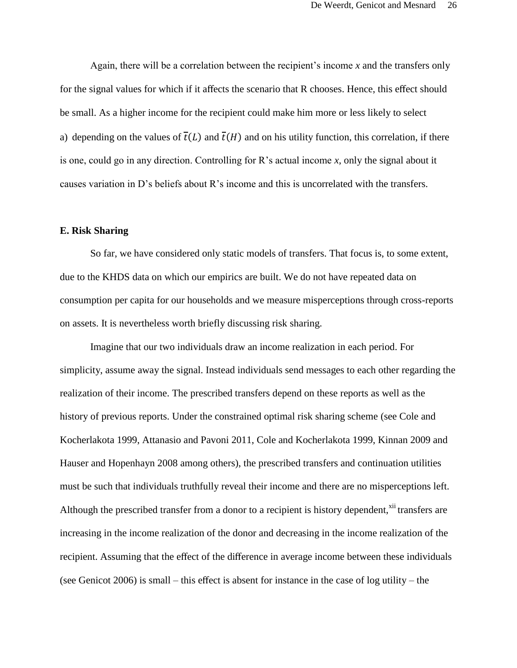Again, there will be a correlation between the recipient's income *x* and the transfers only for the signal values for which if it affects the scenario that R chooses. Hence, this effect should be small. As a higher income for the recipient could make him more or less likely to select a) depending on the values of  $\overline{t}(L)$  and  $\overline{t}(H)$  and on his utility function, this correlation, if there is one, could go in any direction. Controlling for R's actual income *x*, only the signal about it causes variation in D's beliefs about R's income and this is uncorrelated with the transfers.

#### **E. Risk Sharing**

So far, we have considered only static models of transfers. That focus is, to some extent, due to the KHDS data on which our empirics are built. We do not have repeated data on consumption per capita for our households and we measure misperceptions through cross-reports on assets. It is nevertheless worth briefly discussing risk sharing.

Imagine that our two individuals draw an income realization in each period. For simplicity, assume away the signal. Instead individuals send messages to each other regarding the realization of their income. The prescribed transfers depend on these reports as well as the history of previous reports. Under the constrained optimal risk sharing scheme (see Cole and Kocherlakota 1999, Attanasio and Pavoni 2011, Cole and Kocherlakota 1999, Kinnan 2009 and Hauser and Hopenhayn 2008 among others), the prescribed transfers and continuation utilities must be such that individuals truthfully reveal their income and there are no misperceptions left. Although the prescribed transfer from a donor to a recipient is history dependent,<sup>xii</sup> transfers are increasing in the income realization of the donor and decreasing in the income realization of the recipient. Assuming that the effect of the difference in average income between these individuals (see Genicot 2006) is small – this effect is absent for instance in the case of log utility – the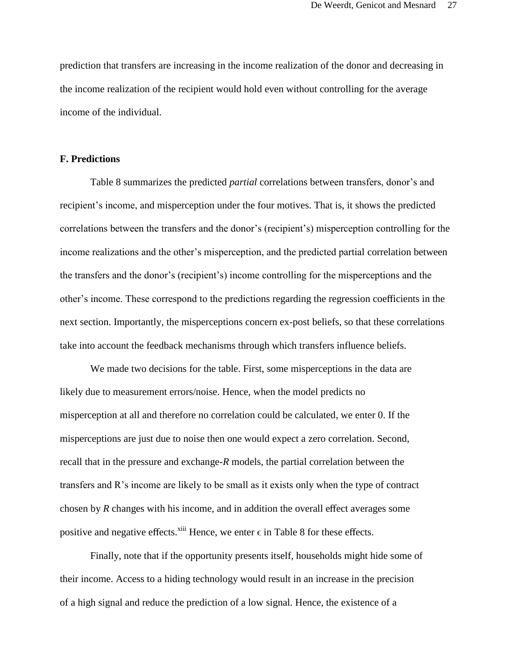prediction that transfers are increasing in the income realization of the donor and decreasing in the income realization of the recipient would hold even without controlling for the average income of the individual.

# **F. Predictions**

Table 8 summarizes the predicted *partial* correlations between transfers, donor's and recipient's income, and misperception under the four motives. That is, it shows the predicted correlations between the transfers and the donor's (recipient's) misperception controlling for the income realizations and the other's misperception, and the predicted partial correlation between the transfers and the donor's (recipient's) income controlling for the misperceptions and the other's income. These correspond to the predictions regarding the regression coefficients in the next section. Importantly, the misperceptions concern ex-post beliefs, so that these correlations take into account the feedback mechanisms through which transfers influence beliefs.

We made two decisions for the table. First, some misperceptions in the data are likely due to measurement errors/noise. Hence, when the model predicts no misperception at all and therefore no correlation could be calculated, we enter 0. If the misperceptions are just due to noise then one would expect a zero correlation. Second, recall that in the pressure and exchange-*R* models, the partial correlation between the transfers and R's income are likely to be small as it exists only when the type of contract chosen by *R* changes with his income, and in addition the overall effect averages some positive and negative effects.<sup> $xiii$ </sup> Hence, we enter  $\epsilon$  in Table 8 for these effects.

Finally, note that if the opportunity presents itself, households might hide some of their income. Access to a hiding technology would result in an increase in the precision of a high signal and reduce the prediction of a low signal. Hence, the existence of a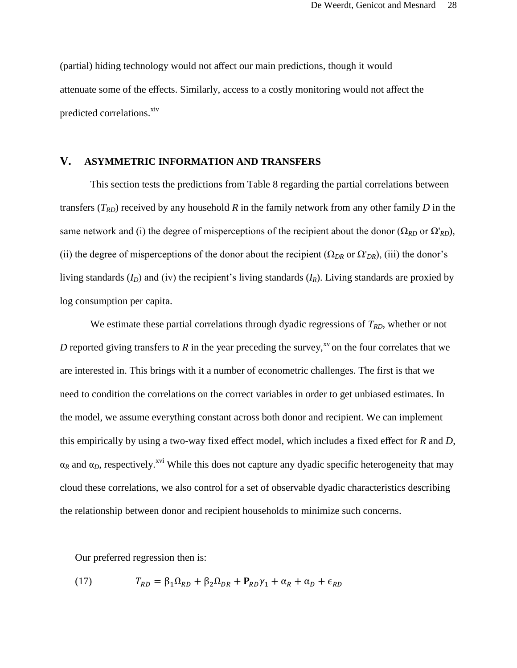(partial) hiding technology would not affect our main predictions, though it would attenuate some of the effects. Similarly, access to a costly monitoring would not affect the predicted correlations.<sup>xiv</sup>

# **V. ASYMMETRIC INFORMATION AND TRANSFERS**

This section tests the predictions from Table 8 regarding the partial correlations between transfers  $(T_{RD})$  received by any household  $R$  in the family network from any other family  $D$  in the same network and (i) the degree of misperceptions of the recipient about the donor ( $\Omega_{RD}$  or  $\Omega'_{RD}$ ), (ii) the degree of misperceptions of the donor about the recipient  $(\Omega_{DR}$  or  $\Omega'_{DR}$ ), (iii) the donor's living standards (*ID*) and (iv) the recipient's living standards (*IR*). Living standards are proxied by log consumption per capita.

We estimate these partial correlations through dyadic regressions of  $T_{RD}$ , whether or not *D* reported giving transfers to *R* in the year preceding the survey,<sup>xv</sup> on the four correlates that we are interested in. This brings with it a number of econometric challenges. The first is that we need to condition the correlations on the correct variables in order to get unbiased estimates. In the model, we assume everything constant across both donor and recipient. We can implement this empirically by using a two-way fixed effect model, which includes a fixed effect for *R* and *D*,  $\alpha_R$  and  $\alpha_D$ , respectively.<sup>xvi</sup> While this does not capture any dyadic specific heterogeneity that may cloud these correlations, we also control for a set of observable dyadic characteristics describing the relationship between donor and recipient households to minimize such concerns.

Our preferred regression then is:

(17) 
$$
T_{RD} = \beta_1 \Omega_{RD} + \beta_2 \Omega_{DR} + P_{RD} \gamma_1 + \alpha_R + \alpha_D + \epsilon_{RD}
$$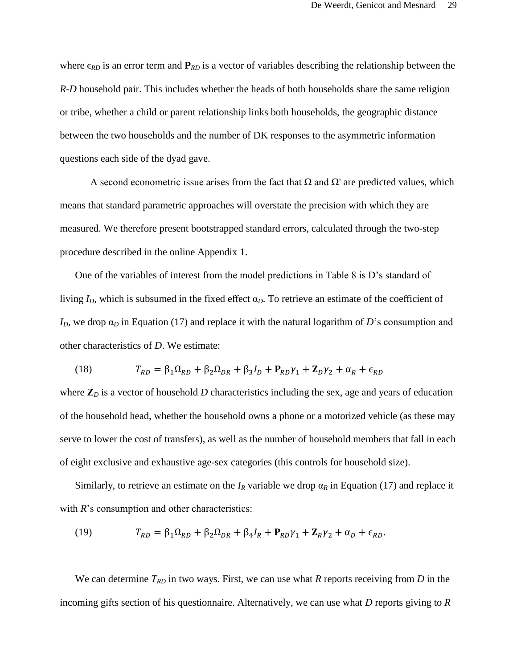where  $\epsilon_{RD}$  is an error term and  $P_{RD}$  is a vector of variables describing the relationship between the *R*-*D* household pair. This includes whether the heads of both households share the same religion or tribe, whether a child or parent relationship links both households, the geographic distance between the two households and the number of DK responses to the asymmetric information questions each side of the dyad gave.

A second econometric issue arises from the fact that  $\Omega$  and  $\Omega'$  are predicted values, which means that standard parametric approaches will overstate the precision with which they are measured. We therefore present bootstrapped standard errors, calculated through the two-step procedure described in the online Appendix 1.

One of the variables of interest from the model predictions in Table 8 is D's standard of living  $I_D$ , which is subsumed in the fixed effect  $\alpha_D$ . To retrieve an estimate of the coefficient of  $I_D$ , we drop  $\alpha_D$  in Equation (17) and replace it with the natural logarithm of *D*'s consumption and other characteristics of *D*. We estimate:

(18) 
$$
T_{RD} = \beta_1 \Omega_{RD} + \beta_2 \Omega_{DR} + \beta_3 I_D + P_{RD} \gamma_1 + \mathbf{Z}_D \gamma_2 + \alpha_R + \epsilon_{RD}
$$

where  $\mathbb{Z}_D$  is a vector of household *D* characteristics including the sex, age and years of education of the household head, whether the household owns a phone or a motorized vehicle (as these may serve to lower the cost of transfers), as well as the number of household members that fall in each of eight exclusive and exhaustive age-sex categories (this controls for household size).

Similarly, to retrieve an estimate on the  $I_R$  variable we drop  $\alpha_R$  in Equation (17) and replace it with *R*'s consumption and other characteristics:

(19) 
$$
T_{RD} = \beta_1 \Omega_{RD} + \beta_2 \Omega_{DR} + \beta_4 I_R + \mathbf{P}_{RD} \gamma_1 + \mathbf{Z}_R \gamma_2 + \alpha_D + \epsilon_{RD}.
$$

We can determine *TRD* in two ways. First, we can use what *R* reports receiving from *D* in the incoming gifts section of his questionnaire. Alternatively, we can use what *D* reports giving to *R*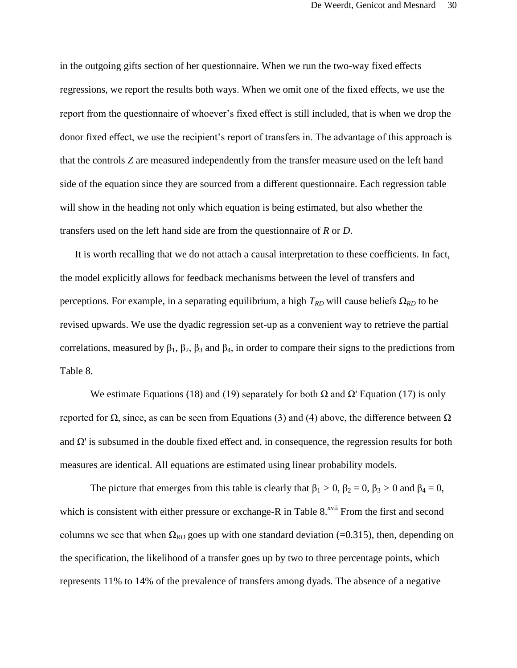in the outgoing gifts section of her questionnaire. When we run the two-way fixed effects regressions, we report the results both ways. When we omit one of the fixed effects, we use the report from the questionnaire of whoever's fixed effect is still included, that is when we drop the donor fixed effect, we use the recipient's report of transfers in. The advantage of this approach is that the controls *Z* are measured independently from the transfer measure used on the left hand side of the equation since they are sourced from a different questionnaire. Each regression table will show in the heading not only which equation is being estimated, but also whether the transfers used on the left hand side are from the questionnaire of *R* or *D*.

It is worth recalling that we do not attach a causal interpretation to these coefficients. In fact, the model explicitly allows for feedback mechanisms between the level of transfers and perceptions. For example, in a separating equilibrium, a high  $T_{RD}$  will cause beliefs  $\Omega_{RD}$  to be revised upwards. We use the dyadic regression set-up as a convenient way to retrieve the partial correlations, measured by  $\beta_1$ ,  $\beta_2$ ,  $\beta_3$  and  $\beta_4$ , in order to compare their signs to the predictions from Table 8.

We estimate Equations (18) and (19) separately for both  $\Omega$  and  $\Omega'$  Equation (17) is only reported for Ω, since, as can be seen from Equations (3) and (4) above, the difference between  $Ω$ and  $\Omega$ ' is subsumed in the double fixed effect and, in consequence, the regression results for both measures are identical. All equations are estimated using linear probability models.

The picture that emerges from this table is clearly that  $\beta_1 > 0$ ,  $\beta_2 = 0$ ,  $\beta_3 > 0$  and  $\beta_4 = 0$ , which is consistent with either pressure or exchange-R in Table  $8.^{xvi}$  From the first and second columns we see that when  $\Omega_{RD}$  goes up with one standard deviation (=0.315), then, depending on the specification, the likelihood of a transfer goes up by two to three percentage points, which represents 11% to 14% of the prevalence of transfers among dyads. The absence of a negative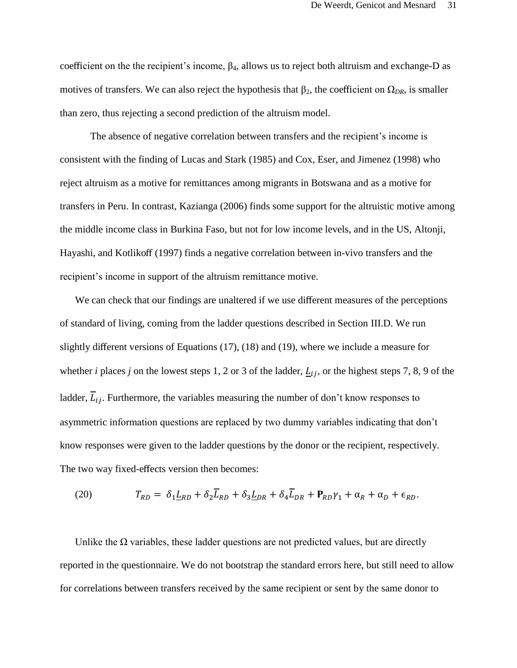coefficient on the the recipient's income,  $\beta_4$ , allows us to reject both altruism and exchange-D as motives of transfers. We can also reject the hypothesis that  $\beta_2$ , the coefficient on  $\Omega_{DR}$ , is smaller than zero, thus rejecting a second prediction of the altruism model.

The absence of negative correlation between transfers and the recipient's income is consistent with the finding of Lucas and Stark (1985) and Cox, Eser, and Jimenez (1998) who reject altruism as a motive for remittances among migrants in Botswana and as a motive for transfers in Peru. In contrast, Kazianga (2006) finds some support for the altruistic motive among the middle income class in Burkina Faso, but not for low income levels, and in the US, Altonji, Hayashi, and Kotlikoff (1997) finds a negative correlation between in-vivo transfers and the recipient's income in support of the altruism remittance motive.

We can check that our findings are unaltered if we use different measures of the perceptions of standard of living, coming from the ladder questions described in Section III.D. We run slightly different versions of Equations (17), (18) and (19), where we include a measure for whether *i* places *j* on the lowest steps 1, 2 or 3 of the ladder,  $L_{ij}$ , or the highest steps 7, 8, 9 of the ladder,  $\overline{L}_{ij}$ . Furthermore, the variables measuring the number of don't know responses to asymmetric information questions are replaced by two dummy variables indicating that don't know responses were given to the ladder questions by the donor or the recipient, respectively. The two way fixed-effects version then becomes:

(20) 
$$
T_{RD} = \delta_1 \underline{L}_{RD} + \delta_2 \overline{L}_{RD} + \delta_3 \underline{L}_{DR} + \delta_4 \overline{L}_{DR} + \mathbf{P}_{RD} \gamma_1 + \alpha_R + \alpha_D + \epsilon_{RD}.
$$

Unlike the  $\Omega$  variables, these ladder questions are not predicted values, but are directly reported in the questionnaire. We do not bootstrap the standard errors here, but still need to allow for correlations between transfers received by the same recipient or sent by the same donor to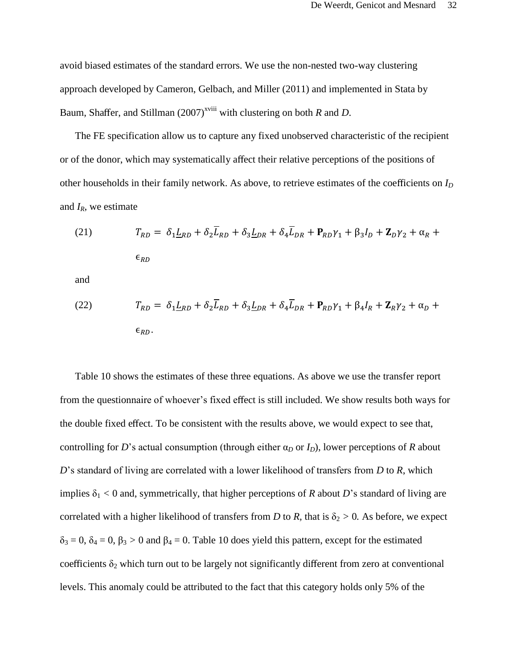avoid biased estimates of the standard errors. We use the non-nested two-way clustering approach developed by Cameron, Gelbach, and Miller (2011) and implemented in Stata by Baum, Shaffer, and Stillman  $(2007)^{xviii}$  with clustering on both *R* and *D*.

The FE specification allow us to capture any fixed unobserved characteristic of the recipient or of the donor, which may systematically affect their relative perceptions of the positions of other households in their family network. As above, to retrieve estimates of the coefficients on *I<sup>D</sup>* and *IR*, we estimate

(21) 
$$
T_{RD} = \delta_1 \underline{L}_{RD} + \delta_2 \overline{L}_{RD} + \delta_3 \underline{L}_{DR} + \delta_4 \overline{L}_{DR} + \mathbf{P}_{RD} \gamma_1 + \beta_3 I_D + \mathbf{Z}_D \gamma_2 + \alpha_R + \epsilon_{RD}
$$

and

(22) 
$$
T_{RD} = \delta_1 \underline{L}_{RD} + \delta_2 \overline{L}_{RD} + \delta_3 \underline{L}_{DR} + \delta_4 \overline{L}_{DR} + \mathbf{P}_{RD} \gamma_1 + \beta_4 I_R + \mathbf{Z}_R \gamma_2 + \alpha_D + \epsilon_{RD}.
$$

Table 10 shows the estimates of these three equations. As above we use the transfer report from the questionnaire of whoever's fixed effect is still included. We show results both ways for the double fixed effect. To be consistent with the results above, we would expect to see that, controlling for *D*'s actual consumption (through either  $\alpha_D$  or  $I_D$ ), lower perceptions of *R* about *D*'s standard of living are correlated with a lower likelihood of transfers from *D* to *R*, which implies  $\delta_1 < 0$  and, symmetrically, that higher perceptions of *R* about *D*'s standard of living are correlated with a higher likelihood of transfers from *D* to *R*, that is  $\delta_2 > 0$ . As before, we expect  $\delta_3 = 0$ ,  $\delta_4 = 0$ ,  $\beta_3 > 0$  and  $\beta_4 = 0$ . Table 10 does yield this pattern, except for the estimated coefficients  $\delta_2$  which turn out to be largely not significantly different from zero at conventional levels. This anomaly could be attributed to the fact that this category holds only 5% of the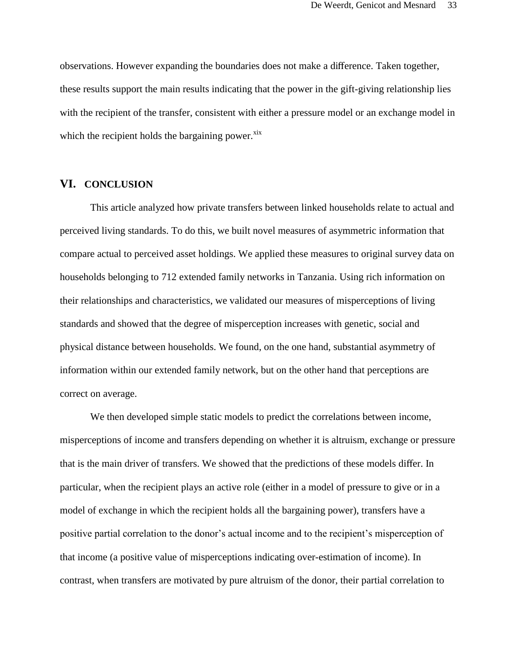observations. However expanding the boundaries does not make a difference. Taken together, these results support the main results indicating that the power in the gift-giving relationship lies with the recipient of the transfer, consistent with either a pressure model or an exchange model in which the recipient holds the bargaining power. $x$ <sup>ix</sup>

# **VI. CONCLUSION**

This article analyzed how private transfers between linked households relate to actual and perceived living standards. To do this, we built novel measures of asymmetric information that compare actual to perceived asset holdings. We applied these measures to original survey data on households belonging to 712 extended family networks in Tanzania. Using rich information on their relationships and characteristics, we validated our measures of misperceptions of living standards and showed that the degree of misperception increases with genetic, social and physical distance between households. We found, on the one hand, substantial asymmetry of information within our extended family network, but on the other hand that perceptions are correct on average.

We then developed simple static models to predict the correlations between income, misperceptions of income and transfers depending on whether it is altruism, exchange or pressure that is the main driver of transfers. We showed that the predictions of these models differ. In particular, when the recipient plays an active role (either in a model of pressure to give or in a model of exchange in which the recipient holds all the bargaining power), transfers have a positive partial correlation to the donor's actual income and to the recipient's misperception of that income (a positive value of misperceptions indicating over-estimation of income). In contrast, when transfers are motivated by pure altruism of the donor, their partial correlation to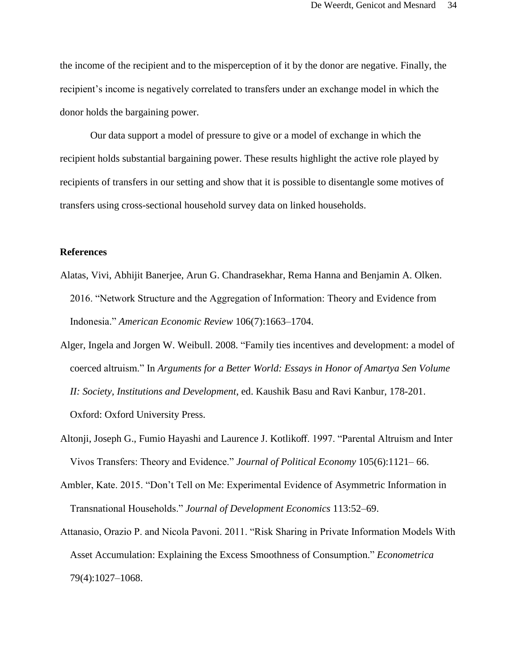the income of the recipient and to the misperception of it by the donor are negative. Finally, the recipient's income is negatively correlated to transfers under an exchange model in which the donor holds the bargaining power.

Our data support a model of pressure to give or a model of exchange in which the recipient holds substantial bargaining power. These results highlight the active role played by recipients of transfers in our setting and show that it is possible to disentangle some motives of transfers using cross-sectional household survey data on linked households.

## **References**

- Alatas, Vivi, Abhijit Banerjee, Arun G. Chandrasekhar, Rema Hanna and Benjamin A. Olken. 2016. "Network Structure and the Aggregation of Information: Theory and Evidence from Indonesia." *American Economic Review* 106(7):1663–1704.
- Alger, Ingela and Jorgen W. Weibull. 2008. "Family ties incentives and development: a model of coerced altruism." In *Arguments for a Better World: Essays in Honor of Amartya Sen Volume II: Society, Institutions and Development*, ed. Kaushik Basu and Ravi Kanbur, 178-201. Oxford: Oxford University Press.
- Altonji, Joseph G., Fumio Hayashi and Laurence J. Kotlikoff. 1997. "Parental Altruism and Inter Vivos Transfers: Theory and Evidence." *Journal of Political Economy* 105(6):1121– 66.
- Ambler, Kate. 2015. "Don't Tell on Me: Experimental Evidence of Asymmetric Information in Transnational Households." *Journal of Development Economics* 113:52–69.
- Attanasio, Orazio P. and Nicola Pavoni. 2011. "Risk Sharing in Private Information Models With Asset Accumulation: Explaining the Excess Smoothness of Consumption." *Econometrica*  79(4):1027–1068.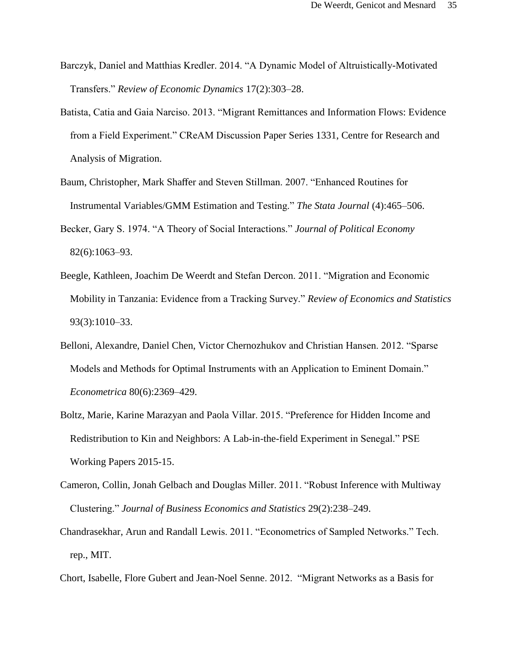- Barczyk, Daniel and Matthias Kredler. 2014. "A Dynamic Model of Altruistically-Motivated Transfers." *Review of Economic Dynamics* 17(2):303–28.
- Batista, Catia and Gaia Narciso. 2013. "Migrant Remittances and Information Flows: Evidence from a Field Experiment." CReAM Discussion Paper Series 1331, Centre for Research and Analysis of Migration.
- Baum, Christopher, Mark Shaffer and Steven Stillman. 2007. "Enhanced Routines for Instrumental Variables/GMM Estimation and Testing." *The Stata Journal* (4):465–506.
- Becker, Gary S. 1974. "A Theory of Social Interactions." *Journal of Political Economy* 82(6):1063–93.
- Beegle, Kathleen, Joachim De Weerdt and Stefan Dercon. 2011. "Migration and Economic Mobility in Tanzania: Evidence from a Tracking Survey." *Review of Economics and Statistics*  93(3):1010–33.
- Belloni, Alexandre, Daniel Chen, Victor Chernozhukov and Christian Hansen. 2012. "Sparse Models and Methods for Optimal Instruments with an Application to Eminent Domain." *Econometrica* 80(6):2369–429.
- Boltz, Marie, Karine Marazyan and Paola Villar. 2015. "Preference for Hidden Income and Redistribution to Kin and Neighbors: A Lab-in-the-field Experiment in Senegal." PSE Working Papers 2015-15.
- Cameron, Collin, Jonah Gelbach and Douglas Miller. 2011. "Robust Inference with Multiway Clustering." *Journal of Business Economics and Statistics* 29(2):238–249.
- Chandrasekhar, Arun and Randall Lewis. 2011. "Econometrics of Sampled Networks." Tech. rep., MIT.
- Chort, Isabelle, Flore Gubert and Jean-Noel Senne. 2012. "Migrant Networks as a Basis for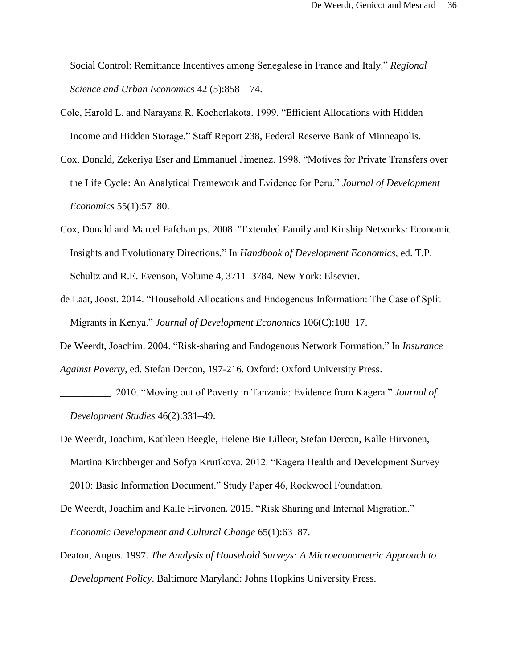Social Control: Remittance Incentives among Senegalese in France and Italy." *Regional Science and Urban Economics* 42 (5):858 – 74.

- Cole, Harold L. and Narayana R. Kocherlakota. 1999. "Efficient Allocations with Hidden Income and Hidden Storage." Staff Report 238, Federal Reserve Bank of Minneapolis.
- Cox, Donald, Zekeriya Eser and Emmanuel Jimenez. 1998. "Motives for Private Transfers over the Life Cycle: An Analytical Framework and Evidence for Peru." *Journal of Development Economics* 55(1):57–80.
- Cox, Donald and Marcel Fafchamps. 2008. "Extended Family and Kinship Networks: Economic Insights and Evolutionary Directions." In *Handbook of Development Economics*, ed. T.P. Schultz and R.E. Evenson, Volume 4, 3711–3784. New York: Elsevier.
- de Laat, Joost. 2014. "Household Allocations and Endogenous Information: The Case of Split Migrants in Kenya." *Journal of Development Economics* 106(C):108–17.
- De Weerdt, Joachim. 2004. "Risk-sharing and Endogenous Network Formation." In *Insurance Against Poverty*, ed. Stefan Dercon, 197-216. Oxford: Oxford University Press.
- \_\_\_\_\_\_\_\_\_\_. 2010. "Moving out of Poverty in Tanzania: Evidence from Kagera." *Journal of Development Studies* 46(2):331–49.
- De Weerdt, Joachim, Kathleen Beegle, Helene Bie Lilleor, Stefan Dercon, Kalle Hirvonen, Martina Kirchberger and Sofya Krutikova. 2012. "Kagera Health and Development Survey 2010: Basic Information Document." Study Paper 46, Rockwool Foundation.
- De Weerdt, Joachim and Kalle Hirvonen. 2015. "Risk Sharing and Internal Migration." *Economic Development and Cultural Change* 65(1):63–87.
- Deaton, Angus. 1997. *The Analysis of Household Surveys: A Microeconometric Approach to Development Policy*. Baltimore Maryland: Johns Hopkins University Press.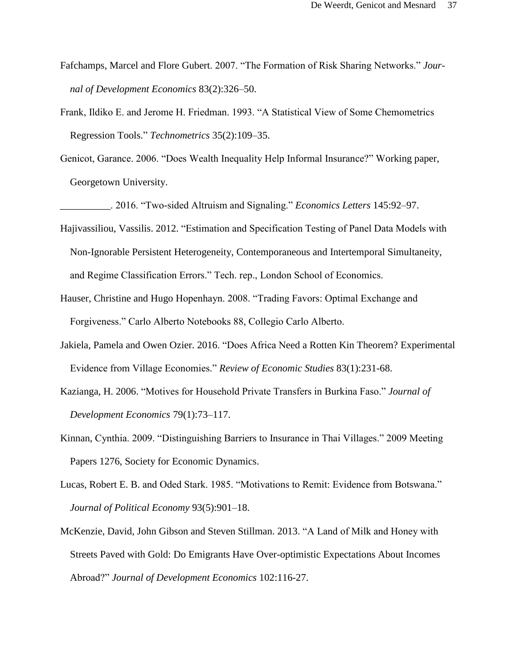- Fafchamps, Marcel and Flore Gubert. 2007. "The Formation of Risk Sharing Networks." *Journal of Development Economics* 83(2):326–50.
- Frank, Ildiko E. and Jerome H. Friedman. 1993. "A Statistical View of Some Chemometrics Regression Tools." *Technometrics* 35(2):109–35.
- Genicot, Garance. 2006. "Does Wealth Inequality Help Informal Insurance?" Working paper, Georgetown University.

\_\_\_\_\_\_\_\_\_\_. 2016. "Two-sided Altruism and Signaling." *Economics Letters* 145:92–97.

- Hajivassiliou, Vassilis. 2012. "Estimation and Specification Testing of Panel Data Models with Non-Ignorable Persistent Heterogeneity, Contemporaneous and Intertemporal Simultaneity, and Regime Classification Errors." Tech. rep., London School of Economics.
- Hauser, Christine and Hugo Hopenhayn. 2008. "Trading Favors: Optimal Exchange and Forgiveness." Carlo Alberto Notebooks 88, Collegio Carlo Alberto.
- Jakiela, Pamela and Owen Ozier. 2016. "Does Africa Need a Rotten Kin Theorem? Experimental Evidence from Village Economies." *Review of Economic Studies* 83(1):231-68.
- Kazianga, H. 2006. "Motives for Household Private Transfers in Burkina Faso." *Journal of Development Economics* 79(1):73–117.
- Kinnan, Cynthia. 2009. "Distinguishing Barriers to Insurance in Thai Villages." 2009 Meeting Papers 1276, Society for Economic Dynamics.
- Lucas, Robert E. B. and Oded Stark. 1985. "Motivations to Remit: Evidence from Botswana." *Journal of Political Economy* 93(5):901–18.
- McKenzie, David, John Gibson and Steven Stillman. 2013. "A Land of Milk and Honey with Streets Paved with Gold: Do Emigrants Have Over-optimistic Expectations About Incomes Abroad?" *Journal of Development Economics* 102:116-27.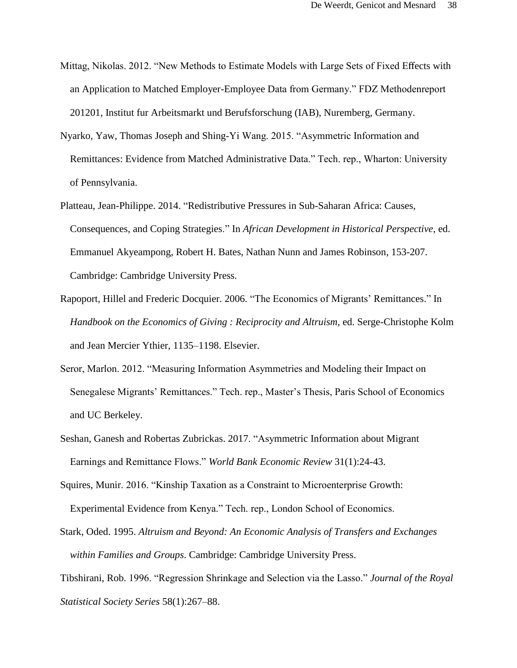- Mittag, Nikolas. 2012. "New Methods to Estimate Models with Large Sets of Fixed Effects with an Application to Matched Employer-Employee Data from Germany." FDZ Methodenreport 201201, Institut fur Arbeitsmarkt und Berufsforschung (IAB), Nuremberg, Germany.
- Nyarko, Yaw, Thomas Joseph and Shing-Yi Wang. 2015. "Asymmetric Information and Remittances: Evidence from Matched Administrative Data." Tech. rep., Wharton: University of Pennsylvania.
- Platteau, Jean-Philippe. 2014. "Redistributive Pressures in Sub-Saharan Africa: Causes, Consequences, and Coping Strategies." In *African Development in Historical Perspective*, ed. Emmanuel Akyeampong, Robert H. Bates, Nathan Nunn and James Robinson, 153-207. Cambridge: Cambridge University Press.
- Rapoport, Hillel and Frederic Docquier. 2006. "The Economics of Migrants' Remittances." In *Handbook on the Economics of Giving : Reciprocity and Altruism,* ed. Serge-Christophe Kolm and Jean Mercier Ythier, 1135–1198. Elsevier.
- Seror, Marlon. 2012. "Measuring Information Asymmetries and Modeling their Impact on Senegalese Migrants' Remittances." Tech. rep., Master's Thesis, Paris School of Economics and UC Berkeley.
- Seshan, Ganesh and Robertas Zubrickas. 2017. "Asymmetric Information about Migrant Earnings and Remittance Flows." *World Bank Economic Review* 31(1):24-43.
- Squires, Munir. 2016. "Kinship Taxation as a Constraint to Microenterprise Growth: Experimental Evidence from Kenya." Tech. rep., London School of Economics.
- Stark, Oded. 1995. *Altruism and Beyond: An Economic Analysis of Transfers and Exchanges within Families and Groups*. Cambridge: Cambridge University Press.
- Tibshirani, Rob. 1996. "Regression Shrinkage and Selection via the Lasso." *Journal of the Royal Statistical Society Series* 58(1):267–88.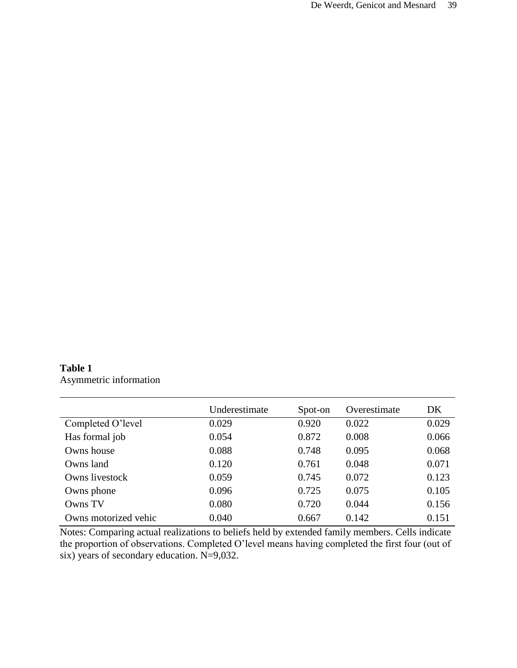# **Table 1** Asymmetric information

|                      | Underestimate | Spot-on | Overestimate | DK    |
|----------------------|---------------|---------|--------------|-------|
| Completed O'level    | 0.029         | 0.920   | 0.022        | 0.029 |
| Has formal job       | 0.054         | 0.872   | 0.008        | 0.066 |
| Owns house           | 0.088         | 0.748   | 0.095        | 0.068 |
| Owns land            | 0.120         | 0.761   | 0.048        | 0.071 |
| Owns livestock       | 0.059         | 0.745   | 0.072        | 0.123 |
| Owns phone           | 0.096         | 0.725   | 0.075        | 0.105 |
| Owns TV              | 0.080         | 0.720   | 0.044        | 0.156 |
| Owns motorized vehic | 0.040         | 0.667   | 0.142        | 0.151 |

Notes: Comparing actual realizations to beliefs held by extended family members. Cells indicate the proportion of observations. Completed O'level means having completed the first four (out of six) years of secondary education. N=9,032.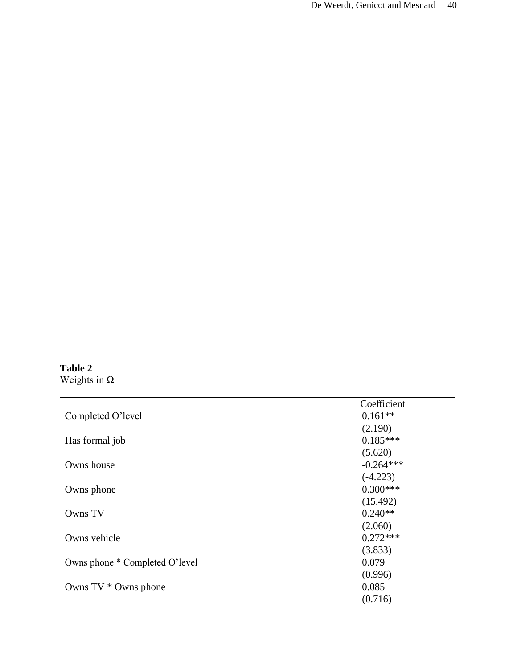# **Table 2** Weights in Ω

|                                | Coefficient |
|--------------------------------|-------------|
| Completed O'level              | $0.161**$   |
|                                | (2.190)     |
| Has formal job                 | $0.185***$  |
|                                | (5.620)     |
| Owns house                     | $-0.264***$ |
|                                | $(-4.223)$  |
| Owns phone                     | $0.300***$  |
|                                | (15.492)    |
| Owns TV                        | $0.240**$   |
|                                | (2.060)     |
| Owns vehicle                   | $0.272***$  |
|                                | (3.833)     |
| Owns phone * Completed O'level | 0.079       |
|                                | (0.996)     |
| Owns $TV *$ Owns phone         | 0.085       |
|                                | (0.716)     |
|                                |             |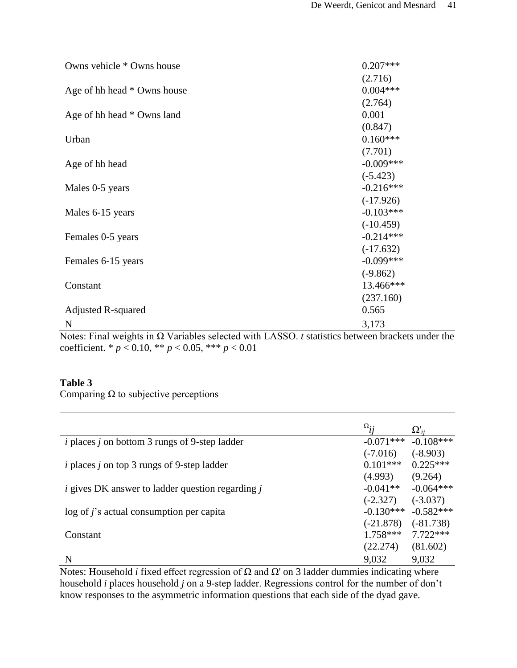| Owns vehicle * Owns house   | $0.207***$  |
|-----------------------------|-------------|
|                             | (2.716)     |
| Age of hh head * Owns house | $0.004***$  |
|                             | (2.764)     |
| Age of hh head * Owns land  | 0.001       |
|                             | (0.847)     |
| Urban                       | $0.160***$  |
|                             | (7.701)     |
| Age of hh head              | $-0.009***$ |
|                             | $(-5.423)$  |
| Males 0-5 years             | $-0.216***$ |
|                             | $(-17.926)$ |
| Males 6-15 years            | $-0.103***$ |
|                             | $(-10.459)$ |
| Females 0-5 years           | $-0.214***$ |
|                             | $(-17.632)$ |
| Females 6-15 years          | $-0.099***$ |
|                             | $(-9.862)$  |
| Constant                    | 13.466***   |
|                             | (237.160)   |
| <b>Adjusted R-squared</b>   | 0.565       |
| N                           | 3,173       |

Notes: Final weights in Ω Variables selected with LASSO. *t* statistics between brackets under the coefficient. \*  $p < 0.10$ , \*\*  $p < 0.05$ , \*\*\*  $p < 0.01$ 

# **Table 3**

Comparing  $\Omega$  to subjective perceptions

|                                                                | $\Omega_{ij}$ | $\Omega'_{ii}$ |
|----------------------------------------------------------------|---------------|----------------|
| <i>i</i> places <i>j</i> on bottom 3 rungs of 9-step ladder    | $-0.071***$   | $-0.108***$    |
|                                                                | $(-7.016)$    | $(-8.903)$     |
| <i>i</i> places <i>j</i> on top 3 rungs of 9-step ladder       | $0.101***$    | $0.225***$     |
|                                                                | (4.993)       | (9.264)        |
| <i>i</i> gives DK answer to ladder question regarding <i>j</i> | $-0.041**$    | $-0.064***$    |
|                                                                | $(-2.327)$    | $(-3.037)$     |
| $\log$ of j's actual consumption per capita                    | $-0.130***$   | $-0.582***$    |
|                                                                | $(-21.878)$   | $(-81.738)$    |
| Constant                                                       | $1.758***$    | $7.722***$     |
|                                                                | (22.274)      | (81.602)       |
| N                                                              | 9,032         | 9,032          |

Notes: Household *i* fixed effect regression of  $Ω$  and  $Ω'$  on 3 ladder dummies indicating where household *i* places household *j* on a 9-step ladder. Regressions control for the number of don't know responses to the asymmetric information questions that each side of the dyad gave.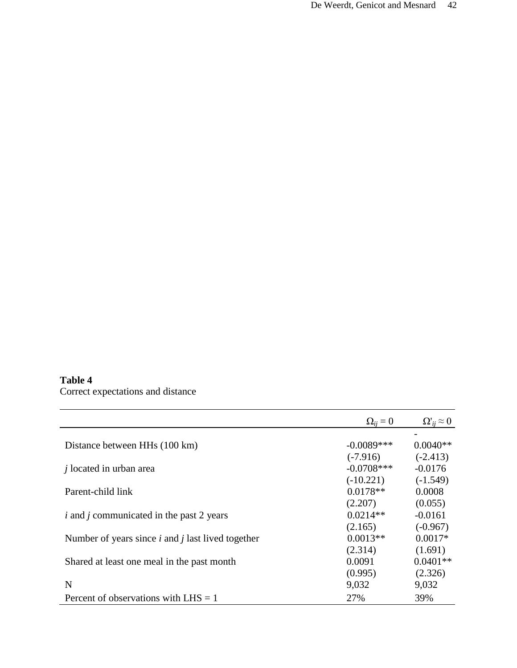# **Table 4**

Correct expectations and distance

|                                                        | $\Omega_{ii} = 0$ | $\Omega_{ii}^{\prime} \approx 0$ |
|--------------------------------------------------------|-------------------|----------------------------------|
|                                                        |                   |                                  |
| Distance between HHs (100 km)                          | $-0.0089***$      | $0.0040**$                       |
|                                                        | $(-7.916)$        | $(-2.413)$                       |
| <i>i</i> located in urban area                         | $-0.0708***$      | $-0.0176$                        |
|                                                        | $(-10.221)$       | $(-1.549)$                       |
| Parent-child link                                      | $0.0178**$        | 0.0008                           |
|                                                        | (2.207)           | (0.055)                          |
| <i>i</i> and <i>j</i> communicated in the past 2 years | $0.0214**$        | $-0.0161$                        |
|                                                        | (2.165)           | $(-0.967)$                       |
| Number of years since $i$ and $j$ last lived together  | $0.0013**$        | $0.0017*$                        |
|                                                        | (2.314)           | (1.691)                          |
| Shared at least one meal in the past month             | 0.0091            | $0.0401**$                       |
|                                                        | (0.995)           | (2.326)                          |
| N                                                      | 9,032             | 9,032                            |
| Percent of observations with $LHS = 1$                 | 27%               | 39%                              |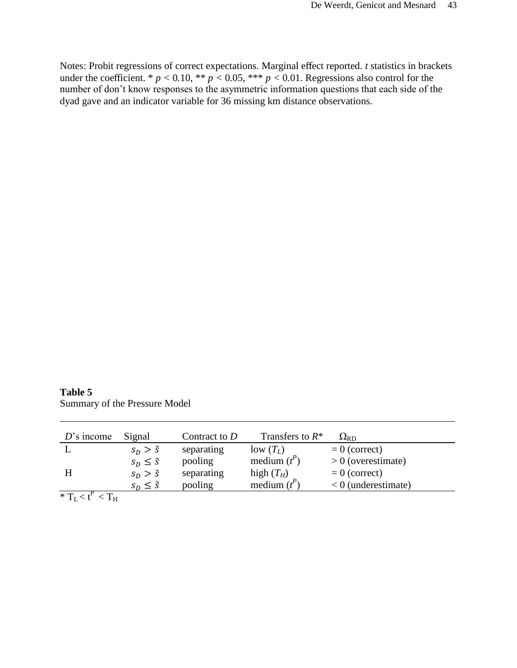Notes: Probit regressions of correct expectations. Marginal effect reported. *t* statistics in brackets under the coefficient. \*  $p < 0.10$ , \*\*  $p < 0.05$ , \*\*\*  $p < 0.01$ . Regressions also control for the number of don't know responses to the asymmetric information questions that each side of the dyad gave and an indicator variable for 36 missing km distance observations.

**Table 5** Summary of the Pressure Model

| $D$ 's income                             | Signal               | Contract to $D$ | Transfers to $R^*$ | $\Omega_{\rm RD}$     |
|-------------------------------------------|----------------------|-----------------|--------------------|-----------------------|
|                                           | $s_D > \tilde{s}$    | separating      | $low(T_L)$         | $= 0$ (correct)       |
|                                           | $S_D \leq \tilde{S}$ | pooling         | medium $(t^P)$     | $> 0$ (overestimate)  |
|                                           | $s_D > \tilde{s}$    | separating      | high $(T_H)$       | $= 0$ (correct)       |
|                                           | $S_D \leq \tilde{S}$ | pooling         | medium $(t^P)$     | $< 0$ (underestimate) |
| $*$ T $\rightarrow$ $\mu$ $\rightarrow$ T |                      |                 |                    |                       |

 $^*$   $T_L$   $<$   $t^P$   $<$   $T_H$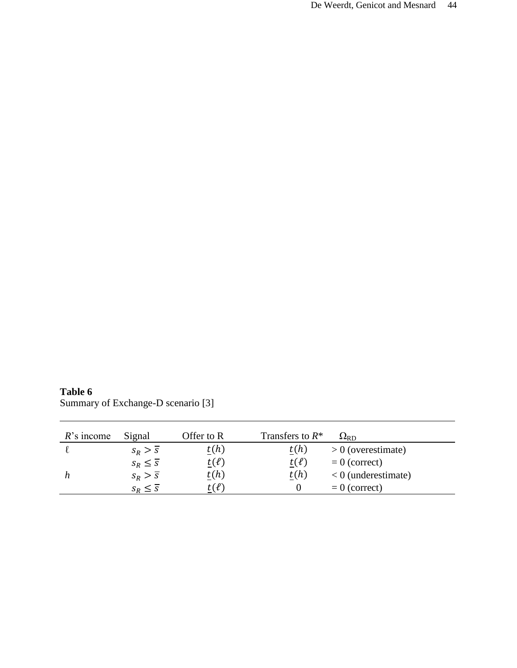**Table 6** Summary of Exchange-D scenario [3]

| $R$ 's income | Signal                  | Offer to R    | Transfers to $R^*$ | $\Omega_{\rm RD}$     |
|---------------|-------------------------|---------------|--------------------|-----------------------|
|               | $S_R > \overline{S}$    | t(h)          | t(h)               | $> 0$ (overestimate)  |
|               | $S_R \leq \overline{S}$ | $t(\ell)$     | $t(\ell)$          | $= 0$ (correct)       |
|               | $S_R > \overline{S}$    | t(h)          | t(h)               | $< 0$ (underestimate) |
|               | $S_R \leq \overline{S}$ | $\iota(\ell)$ |                    | $= 0$ (correct)       |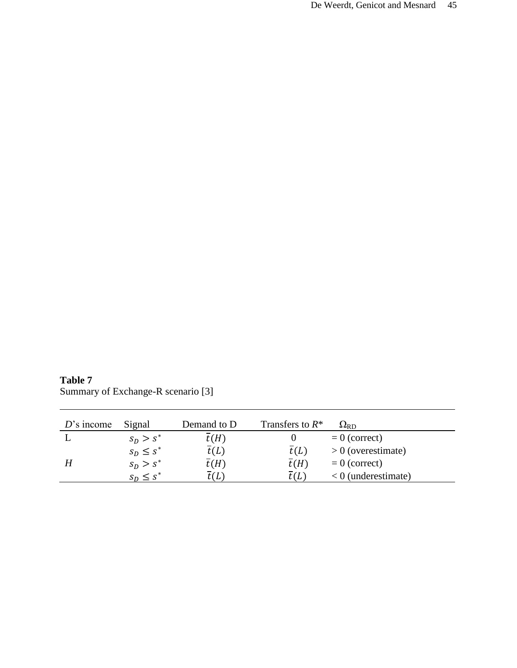**Table 7** Summary of Exchange-R scenario [3]

| $D$ 's income | Signal         | Demand to D       | Transfers to $R^*$ | $\Omega_{\rm RD}$     |
|---------------|----------------|-------------------|--------------------|-----------------------|
|               | $s_n > s^*$    | $\overline{t}(H)$ |                    | $= 0$ (correct)       |
|               | $S_D \leq S^*$ | t(L)              | $\overline{t}(L)$  | $> 0$ (overestimate)  |
|               | $s_n > s^*$    | $\overline{t}(H)$ | $\overline{t}(H)$  | $= 0$ (correct)       |
|               | $S_D \leq S^*$ | t (L              | :CL                | $< 0$ (underestimate) |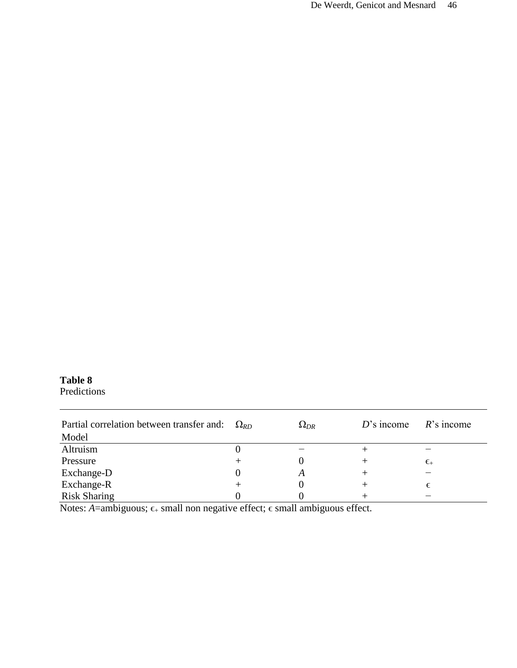# **Table 8**

Predictions

| Partial correlation between transfer and:<br>Model | $\Omega_{RD}$ | $\Omega_{DR}$ | $D$ 's income | $R$ 's income                     |
|----------------------------------------------------|---------------|---------------|---------------|-----------------------------------|
| Altruism                                           |               |               |               |                                   |
| Pressure                                           |               |               |               | $\epsilon_{\scriptscriptstyle +}$ |
| Exchange-D                                         |               | A             |               |                                   |
| Exchange-R                                         |               |               |               |                                   |
| <b>Risk Sharing</b>                                |               |               |               |                                   |

Notes: *A*=ambiguous;  $\epsilon_+$  small non negative effect;  $\epsilon$  small ambiguous effect.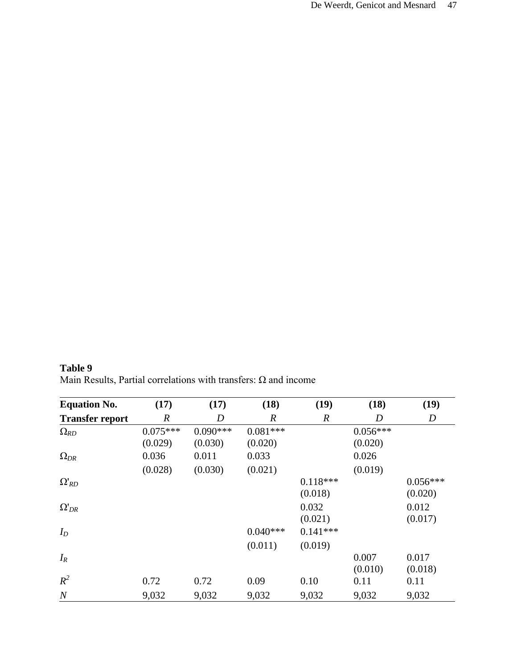**Table 9** Main Results, Partial correlations with transfers:  $\Omega$  and income

| <b>Equation No.</b>    | (17)             | (17)       | (18)             | (19)             | (18)       | (19)       |
|------------------------|------------------|------------|------------------|------------------|------------|------------|
| <b>Transfer report</b> | $\boldsymbol{R}$ | D          | $\boldsymbol{R}$ | $\boldsymbol{R}$ | D          | D          |
| $\Omega_{RD}$          | $0.075***$       | $0.090***$ | $0.081***$       |                  | $0.056***$ |            |
|                        | (0.029)          | (0.030)    | (0.020)          |                  | (0.020)    |            |
| $\Omega_{DR}$          | 0.036            | 0.011      | 0.033            |                  | 0.026      |            |
|                        | (0.028)          | (0.030)    | (0.021)          |                  | (0.019)    |            |
| $\Omega'_{RD}$         |                  |            |                  | $0.118***$       |            | $0.056***$ |
|                        |                  |            |                  | (0.018)          |            | (0.020)    |
| $\Omega'_{DR}$         |                  |            |                  | 0.032            |            | 0.012      |
|                        |                  |            |                  | (0.021)          |            | (0.017)    |
| $I_D$                  |                  |            | $0.040***$       | $0.141***$       |            |            |
|                        |                  |            | (0.011)          | (0.019)          |            |            |
| $I_R$                  |                  |            |                  |                  | 0.007      | 0.017      |
|                        |                  |            |                  |                  | (0.010)    | (0.018)    |
| $R^2$                  | 0.72             | 0.72       | 0.09             | 0.10             | 0.11       | 0.11       |
| $\boldsymbol{N}$       | 9,032            | 9,032      | 9,032            | 9,032            | 9,032      | 9,032      |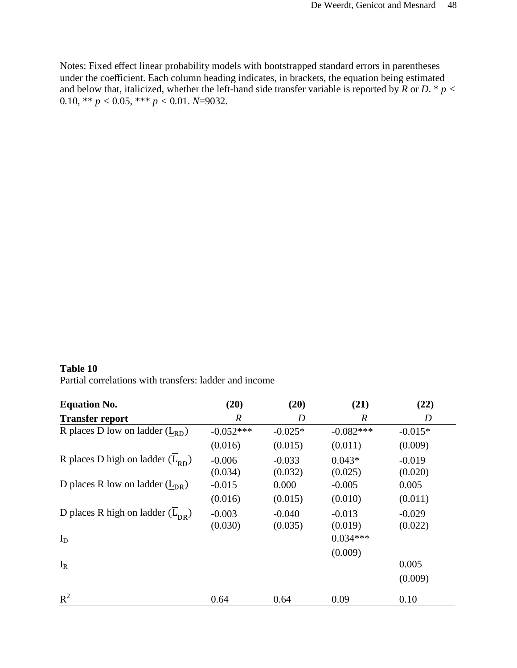Notes: Fixed effect linear probability models with bootstrapped standard errors in parentheses under the coefficient. Each column heading indicates, in brackets, the equation being estimated and below that, italicized, whether the left-hand side transfer variable is reported by  $R$  or  $D$ . \*  $p <$ 0.10, \*\*  $p < 0.05$ , \*\*\*  $p < 0.01$ . *N*=9032.

# **Table 10** Partial correlations with transfers: ladder and income

| <b>Equation No.</b>                         | (20)        | (20)      | (21)             | (22)             |
|---------------------------------------------|-------------|-----------|------------------|------------------|
| <b>Transfer report</b>                      | R           | D         | $\boldsymbol{R}$ | $\boldsymbol{D}$ |
| R places D low on ladder $(L_{RD})$         | $-0.052***$ | $-0.025*$ | $-0.082***$      | $-0.015*$        |
|                                             | (0.016)     | (0.015)   | (0.011)          | (0.009)          |
| R places D high on ladder $(L_{\text{pn}})$ | $-0.006$    | $-0.033$  | $0.043*$         | $-0.019$         |
|                                             | (0.034)     | (0.032)   | (0.025)          | (0.020)          |
| D places R low on ladder $(L_{DR})$         | $-0.015$    | 0.000     | $-0.005$         | 0.005            |
|                                             | (0.016)     | (0.015)   | (0.010)          | (0.011)          |
| D places R high on ladder $(L_{DR})$        | $-0.003$    | $-0.040$  | $-0.013$         | $-0.029$         |
|                                             | (0.030)     | (0.035)   | (0.019)          | (0.022)          |
| $I_D$                                       |             |           | $0.034***$       |                  |
|                                             |             |           | (0.009)          |                  |
| $I_R$                                       |             |           |                  | 0.005            |
|                                             |             |           |                  | (0.009)          |
| $R^2$                                       | 0.64        | 0.64      | 0.09             | 0.10             |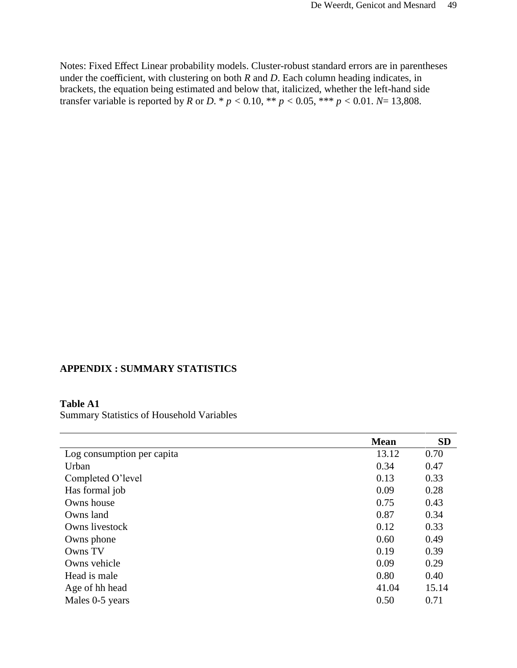Notes: Fixed Effect Linear probability models. Cluster-robust standard errors are in parentheses under the coefficient, with clustering on both *R* and *D*. Each column heading indicates, in brackets, the equation being estimated and below that, italicized, whether the left-hand side transfer variable is reported by *R* or *D*. \*  $p < 0.10$ , \*\*  $p < 0.05$ , \*\*\*  $p < 0.01$ . *N*= 13,808.

# **APPENDIX : SUMMARY STATISTICS**

# **Table A1**

Summary Statistics of Household Variables

|                            | <b>Mean</b> | <b>SD</b> |
|----------------------------|-------------|-----------|
| Log consumption per capita | 13.12       | 0.70      |
| Urban                      | 0.34        | 0.47      |
| Completed O'level          | 0.13        | 0.33      |
| Has formal job             | 0.09        | 0.28      |
| Owns house                 | 0.75        | 0.43      |
| Owns land                  | 0.87        | 0.34      |
| Owns livestock             | 0.12        | 0.33      |
| Owns phone                 | 0.60        | 0.49      |
| Owns TV                    | 0.19        | 0.39      |
| Owns vehicle               | 0.09        | 0.29      |
| Head is male               | 0.80        | 0.40      |
| Age of hh head             | 41.04       | 15.14     |
| Males 0-5 years            | 0.50        | 0.71      |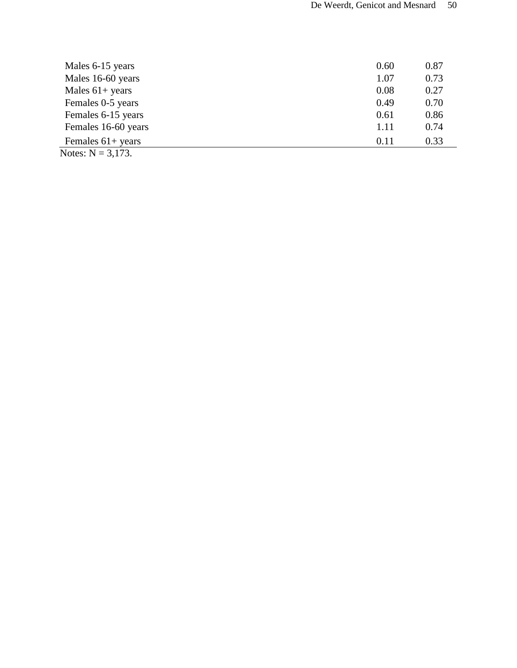| Males 6-15 years                                                                                                                                                                                                                                                                                                                                          | 0.60 | 0.87 |
|-----------------------------------------------------------------------------------------------------------------------------------------------------------------------------------------------------------------------------------------------------------------------------------------------------------------------------------------------------------|------|------|
| Males 16-60 years                                                                                                                                                                                                                                                                                                                                         | 1.07 | 0.73 |
| Males $61+$ years                                                                                                                                                                                                                                                                                                                                         | 0.08 | 0.27 |
| Females 0-5 years                                                                                                                                                                                                                                                                                                                                         | 0.49 | 0.70 |
| Females 6-15 years                                                                                                                                                                                                                                                                                                                                        | 0.61 | 0.86 |
| Females 16-60 years                                                                                                                                                                                                                                                                                                                                       | 1.11 | 0.74 |
| Females $61+$ years<br>$\mathbf{v}$ $\mathbf{v}$ $\mathbf{v}$ $\mathbf{v}$ $\mathbf{v}$ $\mathbf{v}$ $\mathbf{v}$ $\mathbf{v}$ $\mathbf{v}$ $\mathbf{v}$ $\mathbf{v}$ $\mathbf{v}$ $\mathbf{v}$ $\mathbf{v}$ $\mathbf{v}$ $\mathbf{v}$ $\mathbf{v}$ $\mathbf{v}$ $\mathbf{v}$ $\mathbf{v}$ $\mathbf{v}$ $\mathbf{v}$ $\mathbf{v}$ $\mathbf{v}$ $\mathbf{$ | 0.11 | 0.33 |

Notes:  $N = 3,173$ .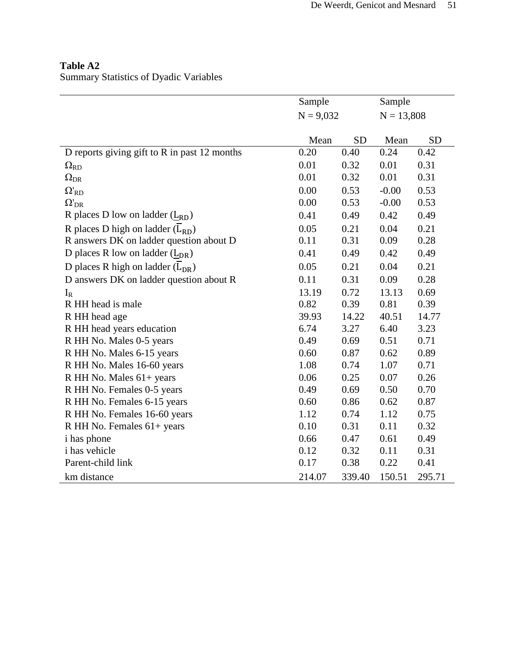# **Table A2**

Summary Statistics of Dyadic Variables

|                                              | Sample<br>$N = 9,032$ |           | Sample<br>$N = 13,808$ |           |
|----------------------------------------------|-----------------------|-----------|------------------------|-----------|
|                                              |                       |           |                        |           |
|                                              |                       |           |                        |           |
|                                              | Mean                  | <b>SD</b> | Mean                   | <b>SD</b> |
| D reports giving gift to R in past 12 months | 0.20                  | 0.40      | 0.24                   | 0.42      |
| $\Omega_{\text{RD}}$                         | 0.01                  | 0.32      | 0.01                   | 0.31      |
| $\Omega_{\rm DR}$                            | 0.01                  | 0.32      | 0.01                   | 0.31      |
| $\Omega_{RD}^{\prime}$                       | 0.00                  | 0.53      | $-0.00$                | 0.53      |
| $\Omega'_{\text{DR}}$                        | 0.00                  | 0.53      | $-0.00$                | 0.53      |
| R places D low on ladder $(L_{RD})$          | 0.41                  | 0.49      | 0.42                   | 0.49      |
| R places D high on ladder $(L_{RD})$         | 0.05                  | 0.21      | 0.04                   | 0.21      |
| R answers DK on ladder question about D      | 0.11                  | 0.31      | 0.09                   | 0.28      |
| D places R low on ladder $(L_{DR})$          | 0.41                  | 0.49      | 0.42                   | 0.49      |
| D places R high on ladder $(L_{DR})$         | 0.05                  | 0.21      | 0.04                   | 0.21      |
| D answers DK on ladder question about R      | 0.11                  | 0.31      | 0.09                   | 0.28      |
| $I_R$                                        | 13.19                 | 0.72      | 13.13                  | 0.69      |
| R HH head is male                            | 0.82                  | 0.39      | 0.81                   | 0.39      |
| R HH head age                                | 39.93                 | 14.22     | 40.51                  | 14.77     |
| R HH head years education                    | 6.74                  | 3.27      | 6.40                   | 3.23      |
| R HH No. Males 0-5 years                     | 0.49                  | 0.69      | 0.51                   | 0.71      |
| R HH No. Males 6-15 years                    | 0.60                  | 0.87      | 0.62                   | 0.89      |
| R HH No. Males 16-60 years                   | 1.08                  | 0.74      | 1.07                   | 0.71      |
| R HH No. Males 61+ years                     | 0.06                  | 0.25      | 0.07                   | 0.26      |
| R HH No. Females 0-5 years                   | 0.49                  | 0.69      | 0.50                   | 0.70      |
| R HH No. Females 6-15 years                  | 0.60                  | 0.86      | 0.62                   | 0.87      |
| R HH No. Females 16-60 years                 | 1.12                  | 0.74      | 1.12                   | 0.75      |
| R HH No. Females 61+ years                   | 0.10                  | 0.31      | 0.11                   | 0.32      |
| i has phone                                  | 0.66                  | 0.47      | 0.61                   | 0.49      |
| i has vehicle                                | 0.12                  | 0.32      | 0.11                   | 0.31      |
| Parent-child link                            | 0.17                  | 0.38      | 0.22                   | 0.41      |
| km distance                                  | 214.07                | 339.40    | 150.51                 | 295.71    |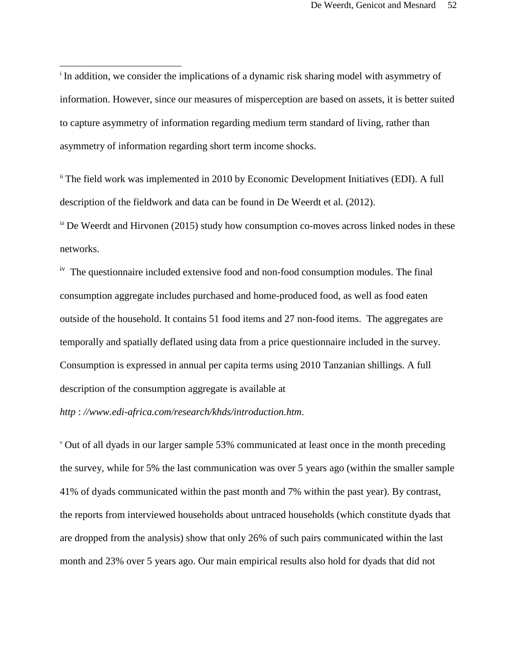In addition, we consider the implications of a dynamic risk sharing model with asymmetry of information. However, since our measures of misperception are based on assets, it is better suited to capture asymmetry of information regarding medium term standard of living, rather than asymmetry of information regarding short term income shocks.

<sup>ii</sup> The field work was implemented in 2010 by Economic Development Initiatives (EDI). A full description of the fieldwork and data can be found in De Weerdt et al. (2012).

iii De Weerdt and Hirvonen (2015) study how consumption co-moves across linked nodes in these networks.

<sup>iv</sup> The questionnaire included extensive food and non-food consumption modules. The final consumption aggregate includes purchased and home-produced food, as well as food eaten outside of the household. It contains 51 food items and 27 non-food items. The aggregates are temporally and spatially deflated using data from a price questionnaire included in the survey. Consumption is expressed in annual per capita terms using 2010 Tanzanian shillings. A full description of the consumption aggregate is available at

*http* : *//www.edi-africa.com/research/khds/introduction.htm*.

<sup>v</sup> Out of all dyads in our larger sample 53% communicated at least once in the month preceding the survey, while for 5% the last communication was over 5 years ago (within the smaller sample 41% of dyads communicated within the past month and 7% within the past year). By contrast, the reports from interviewed households about untraced households (which constitute dyads that are dropped from the analysis) show that only 26% of such pairs communicated within the last month and 23% over 5 years ago. Our main empirical results also hold for dyads that did not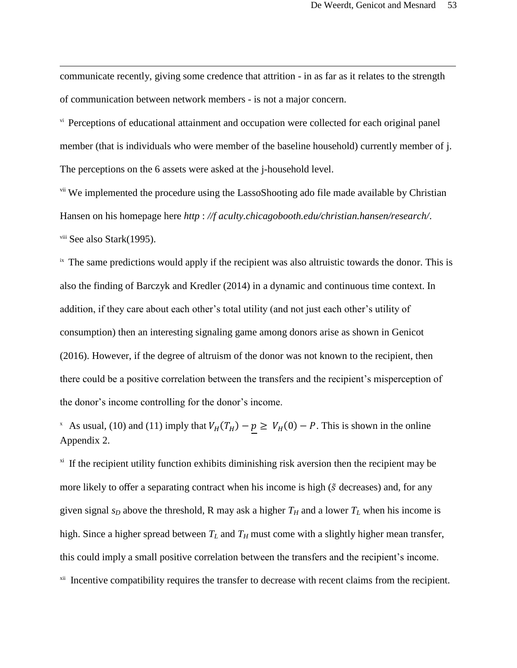communicate recently, giving some credence that attrition - in as far as it relates to the strength of communication between network members - is not a major concern.

l

v<sup>i</sup> Perceptions of educational attainment and occupation were collected for each original panel member (that is individuals who were member of the baseline household) currently member of j. The perceptions on the 6 assets were asked at the j-household level.

<sup>vii</sup> We implemented the procedure using the LassoShooting ado file made available by Christian Hansen on his homepage here *http* : *//f aculty.chicagobooth.edu/christian.hansen/research/*. viii See also Stark(1995).

<sup>ix</sup> The same predictions would apply if the recipient was also altruistic towards the donor. This is also the finding of Barczyk and Kredler (2014) in a dynamic and continuous time context. In addition, if they care about each other's total utility (and not just each other's utility of consumption) then an interesting signaling game among donors arise as shown in Genicot (2016). However, if the degree of altruism of the donor was not known to the recipient, then there could be a positive correlation between the transfers and the recipient's misperception of the donor's income controlling for the donor's income.

<sup>x</sup> As usual, (10) and (11) imply that  $V_H(T_H) - p \ge V_H(0) - P$ . This is shown in the online Appendix 2.

<sup>xi</sup> If the recipient utility function exhibits diminishing risk aversion then the recipient may be more likely to offer a separating contract when his income is high ( $\tilde{s}$  decreases) and, for any given signal  $s_D$  above the threshold, R may ask a higher  $T_H$  and a lower  $T_L$  when his income is high. Since a higher spread between  $T_L$  and  $T_H$  must come with a slightly higher mean transfer, this could imply a small positive correlation between the transfers and the recipient's income. <sup>xii</sup> Incentive compatibility requires the transfer to decrease with recent claims from the recipient.